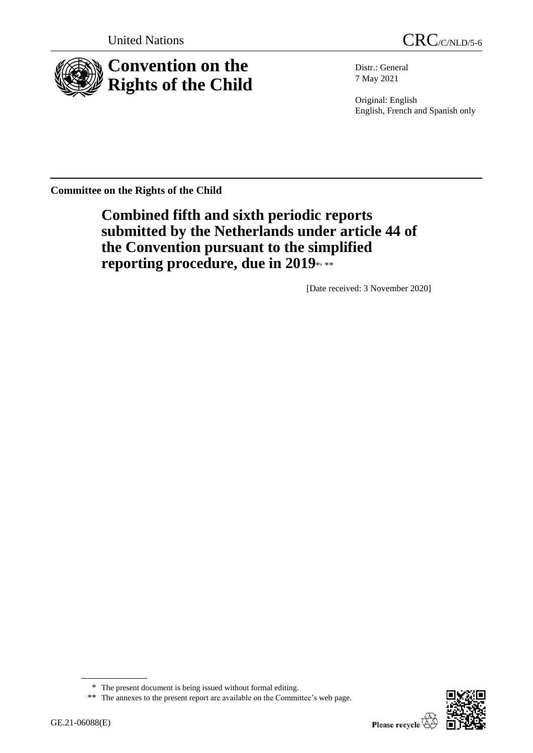

Distr.: General 7 May 2021

Original: English English, French and Spanish only

**Committee on the Rights of the Child**

# **Combined fifth and sixth periodic reports submitted by the Netherlands under article 44 of the Convention pursuant to the simplified reporting procedure, due in 2019**\* , \*\*

[Date received: 3 November 2020]



<sup>\*</sup> The present document is being issued without formal editing.

<sup>\*\*</sup> The annexes to the present report are available on the Committee's web page.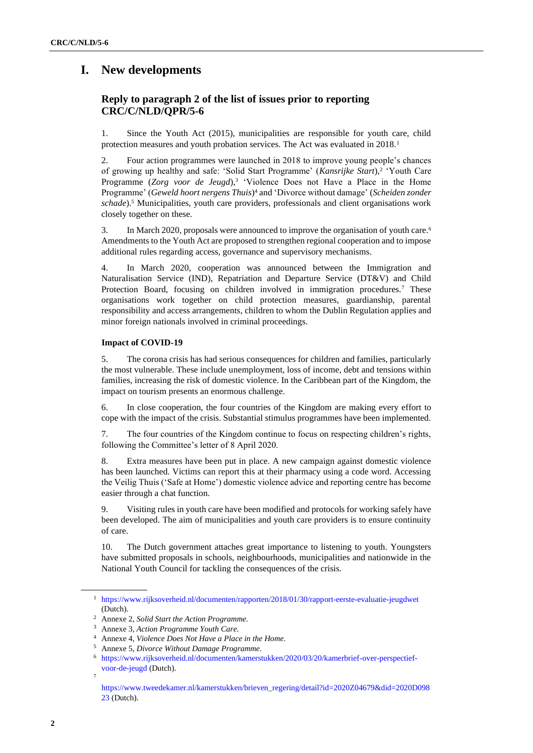# **I. New developments**

# **Reply to paragraph 2 of the list of issues prior to reporting CRC/C/NLD/QPR/5-6**

1. Since the Youth Act (2015), municipalities are responsible for youth care, child protection measures and youth probation services. The Act was evaluated in 2018.<sup>1</sup>

2. Four action programmes were launched in 2018 to improve young people's chances of growing up healthy and safe: 'Solid Start Programme' (*Kansrijke Start*),<sup>2</sup> 'Youth Care Programme (*Zorg voor de Jeugd*),<sup>3</sup> 'Violence Does not Have a Place in the Home Programme' (*Geweld hoort nergens Thuis*) <sup>4</sup> and 'Divorce without damage' (*Scheiden zonder schade*)*.* <sup>5</sup> Municipalities, youth care providers, professionals and client organisations work closely together on these.

3. In March 2020, proposals were announced to improve the organisation of youth care.<sup>6</sup> Amendments to the Youth Act are proposed to strengthen regional cooperation and to impose additional rules regarding access, governance and supervisory mechanisms.

4. In March 2020, cooperation was announced between the Immigration and Naturalisation Service (IND), Repatriation and Departure Service (DT&V) and Child Protection Board, focusing on children involved in immigration procedures.<sup>7</sup> These organisations work together on child protection measures, guardianship, parental responsibility and access arrangements, children to whom the Dublin Regulation applies and minor foreign nationals involved in criminal proceedings.

#### **Impact of COVID-19**

5. The corona crisis has had serious consequences for children and families, particularly the most vulnerable. These include unemployment, loss of income, debt and tensions within families, increasing the risk of domestic violence. In the Caribbean part of the Kingdom, the impact on tourism presents an enormous challenge.

6. In close cooperation, the four countries of the Kingdom are making every effort to cope with the impact of the crisis. Substantial stimulus programmes have been implemented.

7. The four countries of the Kingdom continue to focus on respecting children's rights, following the Committee's letter of 8 April 2020.

8. Extra measures have been put in place. A new campaign against domestic violence has been launched. Victims can report this at their pharmacy using a code word. Accessing the Veilig Thuis ('Safe at Home') domestic violence advice and reporting centre has become easier through a chat function.

9. Visiting rules in youth care have been modified and protocols for working safely have been developed. The aim of municipalities and youth care providers is to ensure continuity of care.

10. The Dutch government attaches great importance to listening to youth. Youngsters have submitted proposals in schools, neighbourhoods, municipalities and nationwide in the National Youth Council for tackling the consequences of the crisis.

<sup>1</sup> <https://www.rijksoverheid.nl/documenten/rapporten/2018/01/30/rapport-eerste-evaluatie-jeugdwet> (Dutch).

<sup>2</sup> Annexe 2, *Solid Start the Action Programme.*

<sup>3</sup> Annexe 3*, Action Programme Youth Care.*

<sup>4</sup> Annexe 4, *Violence Does Not Have a Place in the Home.*

<sup>5</sup> Annexe 5, *Divorce Without Damage Programme.*

<sup>6</sup> [https://www.rijksoverheid.nl/documenten/kamerstukken/2020/03/20/kamerbrief-over-perspectief](https://www.rijksoverheid.nl/documenten/kamerstukken/2020/03/20/kamerbrief-over-perspectief-voor-de-jeugd)[voor-de-jeugd](https://www.rijksoverheid.nl/documenten/kamerstukken/2020/03/20/kamerbrief-over-perspectief-voor-de-jeugd) (Dutch). 7

[https://www.tweedekamer.nl/kamerstukken/brieven\\_regering/detail?id=2020Z04679&did=2020D098](https://www.tweedekamer.nl/kamerstukken/brieven_regering/detail?id=2020Z04679&did=2020D09823) [23](https://www.tweedekamer.nl/kamerstukken/brieven_regering/detail?id=2020Z04679&did=2020D09823) (Dutch).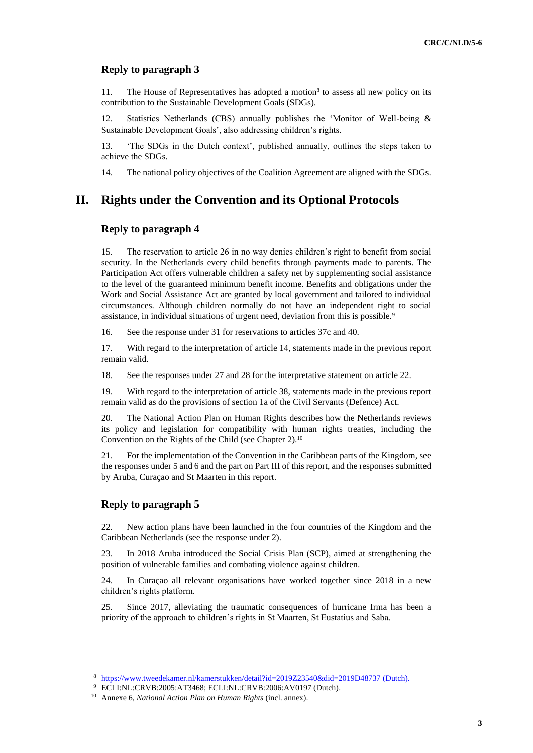11. The House of Representatives has adopted a motion<sup>8</sup> to assess all new policy on its contribution to the Sustainable Development Goals (SDGs).

12. Statistics Netherlands (CBS) annually publishes the 'Monitor of Well-being & Sustainable Development Goals', also addressing children's rights.

13. 'The SDGs in the Dutch context', published annually, outlines the steps taken to achieve the SDGs.

14. The national policy objectives of the Coalition Agreement are aligned with the SDGs.

# **II. Rights under the Convention and its Optional Protocols**

## **Reply to paragraph 4**

15. The reservation to article 26 in no way denies children's right to benefit from social security. In the Netherlands every child benefits through payments made to parents. The Participation Act offers vulnerable children a safety net by supplementing social assistance to the level of the guaranteed minimum benefit income. Benefits and obligations under the Work and Social Assistance Act are granted by local government and tailored to individual circumstances. Although children normally do not have an independent right to social assistance, in individual situations of urgent need, deviation from this is possible.<sup>9</sup>

16. See the response under 31 for reservations to articles 37c and 40.

17. With regard to the interpretation of article 14, statements made in the previous report remain valid.

18. See the responses under 27 and 28 for the interpretative statement on article 22.

19. With regard to the interpretation of article 38, statements made in the previous report remain valid as do the provisions of section 1a of the Civil Servants (Defence) Act.

20. The National Action Plan on Human Rights describes how the Netherlands reviews its policy and legislation for compatibility with human rights treaties, including the Convention on the Rights of the Child (see Chapter 2).<sup>10</sup>

21. For the implementation of the Convention in the Caribbean parts of the Kingdom, see the responses under 5 and 6 and the part on Part III of this report, and the responses submitted by Aruba, Curaçao and St Maarten in this report.

## **Reply to paragraph 5**

22. New action plans have been launched in the four countries of the Kingdom and the Caribbean Netherlands (see the response under 2).

23. In 2018 Aruba introduced the Social Crisis Plan (SCP), aimed at strengthening the position of vulnerable families and combating violence against children.

24. In Curaçao all relevant organisations have worked together since 2018 in a new children's rights platform.

25. Since 2017, alleviating the traumatic consequences of hurricane Irma has been a priority of the approach to children's rights in St Maarten, St Eustatius and Saba.

<sup>8</sup> <https://www.tweedekamer.nl/kamerstukken/detail?id=2019Z23540&did=2019D48737> (Dutch).

<sup>9</sup> ECLI:NL:CRVB:2005:AT3468; ECLI:NL:CRVB:2006:AV0197 (Dutch).

<sup>10</sup> Annexe 6, *National Action Plan on Human Rights* (incl. annex).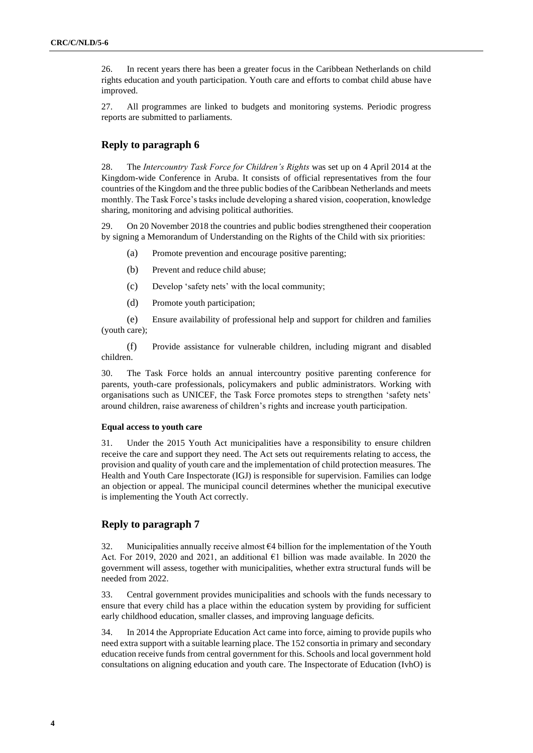26. In recent years there has been a greater focus in the Caribbean Netherlands on child rights education and youth participation. Youth care and efforts to combat child abuse have improved.

27. All programmes are linked to budgets and monitoring systems. Periodic progress reports are submitted to parliaments.

## **Reply to paragraph 6**

28. The *Intercountry Task Force for Children's Rights* was set up on 4 April 2014 at the Kingdom-wide Conference in Aruba. It consists of official representatives from the four countries of the Kingdom and the three public bodies of the Caribbean Netherlands and meets monthly. The Task Force's tasks include developing a shared vision, cooperation, knowledge sharing, monitoring and advising political authorities.

29. On 20 November 2018 the countries and public bodies strengthened their cooperation by signing a Memorandum of Understanding on the Rights of the Child with six priorities:

- (a) Promote prevention and encourage positive parenting;
- (b) Prevent and reduce child abuse;
- (c) Develop 'safety nets' with the local community;
- (d) Promote youth participation;

(e) Ensure availability of professional help and support for children and families (youth care);

(f) Provide assistance for vulnerable children, including migrant and disabled children.

30. The Task Force holds an annual intercountry positive parenting conference for parents, youth-care professionals, policymakers and public administrators. Working with organisations such as UNICEF, the Task Force promotes steps to strengthen 'safety nets' around children, raise awareness of children's rights and increase youth participation.

#### **Equal access to youth care**

31. Under the 2015 Youth Act municipalities have a responsibility to ensure children receive the care and support they need. The Act sets out requirements relating to access, the provision and quality of youth care and the implementation of child protection measures. The Health and Youth Care Inspectorate (IGJ) is responsible for supervision. Families can lodge an objection or appeal. The municipal council determines whether the municipal executive is implementing the Youth Act correctly.

## **Reply to paragraph 7**

32. Municipalities annually receive almost  $64$  billion for the implementation of the Youth Act. For 2019, 2020 and 2021, an additional  $\epsilon$ 1 billion was made available. In 2020 the government will assess, together with municipalities, whether extra structural funds will be needed from 2022.

33. Central government provides municipalities and schools with the funds necessary to ensure that every child has a place within the education system by providing for sufficient early childhood education, smaller classes, and improving language deficits.

34. In 2014 the Appropriate Education Act came into force, aiming to provide pupils who need extra support with a suitable learning place. The 152 consortia in primary and secondary education receive funds from central government for this. Schools and local government hold consultations on aligning education and youth care. The Inspectorate of Education (IvhO) is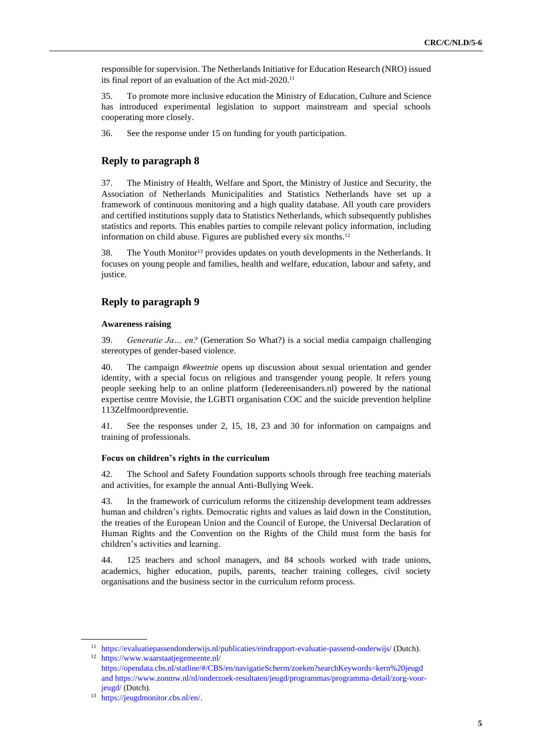responsible for supervision. The Netherlands Initiative for Education Research (NRO) issued its final report of an evaluation of the Act mid-2020.<sup>11</sup>

35. To promote more inclusive education the Ministry of Education, Culture and Science has introduced experimental legislation to support mainstream and special schools cooperating more closely.

36. See the response under 15 on funding for youth participation.

## **Reply to paragraph 8**

37. The Ministry of Health, Welfare and Sport, the Ministry of Justice and Security, the Association of Netherlands Municipalities and Statistics Netherlands have set up a framework of continuous monitoring and a high quality database. All youth care providers and certified institutions supply data to Statistics Netherlands, which subsequently publishes statistics and reports. This enables parties to compile relevant policy information, including information on child abuse. Figures are published every six months.<sup>12</sup>

38. The Youth Monitor<sup>13</sup> provides updates on youth developments in the Netherlands. It focuses on young people and families, health and welfare, education, labour and safety, and justice.

# **Reply to paragraph 9**

#### **Awareness raising**

39. *Generatie Ja… en?* (Generation So What?) is a social media campaign challenging stereotypes of gender-based violence.

40. The campaign *#kweetnie* opens up discussion about sexual orientation and gender identity, with a special focus on religious and transgender young people. It refers young people seeking help to an online platform (Iedereenisanders.nl) powered by the national expertise centre Movisie, the LGBTI organisation COC and the suicide prevention helpline 113Zelfmoordpreventie.

41. See the responses under 2, 15, 18, 23 and 30 for information on campaigns and training of professionals.

#### **Focus on children's rights in the curriculum**

42. The School and Safety Foundation supports schools through free teaching materials and activities, for example the annual Anti-Bullying Week.

43. In the framework of curriculum reforms the citizenship development team addresses human and children's rights. Democratic rights and values as laid down in the Constitution, the treaties of the European Union and the Council of Europe, the Universal Declaration of Human Rights and the Convention on the Rights of the Child must form the basis for children's activities and learning.

44. 125 teachers and school managers, and 84 schools worked with trade unions, academics, higher education, pupils, parents, teacher training colleges, civil society organisations and the business sector in the curriculum reform process.

<sup>11</sup> <https://evaluatiepassendonderwijs.nl/publicaties/eindrapport-evaluatie-passend-onderwijs/> (Dutch). <sup>12</sup> <https://www.waarstaatjegemeente.nl/>

<https://opendata.cbs.nl/statline/#/CBS/en/navigatieScherm/zoeken?searchKeywords=kern%20jeugd> an[d https://www.zonmw.nl/nl/onderzoek-resultaten/jeugd/programmas/programma-detail/zorg-voor](https://www.zonmw.nl/nl/onderzoek-resultaten/jeugd/programmas/programma-detail/zorg-voor-jeugd/)[jeugd/](https://www.zonmw.nl/nl/onderzoek-resultaten/jeugd/programmas/programma-detail/zorg-voor-jeugd/) (Dutch).

<sup>13</sup> [https://jeugdmonitor.cbs.nl/en/.](https://jeugdmonitor.cbs.nl/en/)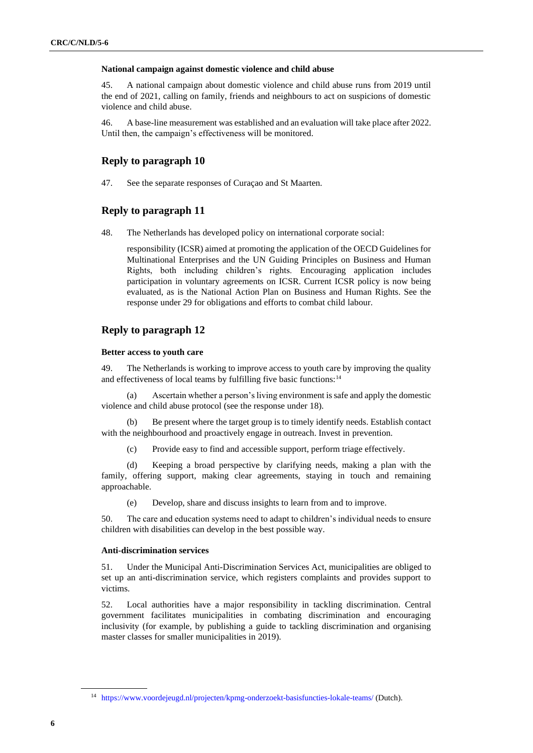#### **National campaign against domestic violence and child abuse**

45. A national campaign about domestic violence and child abuse runs from 2019 until the end of 2021, calling on family, friends and neighbours to act on suspicions of domestic violence and child abuse.

46. A base-line measurement was established and an evaluation will take place after 2022. Until then, the campaign's effectiveness will be monitored.

## **Reply to paragraph 10**

47. See the separate responses of Curaçao and St Maarten.

## **Reply to paragraph 11**

48. The Netherlands has developed policy on international corporate social:

responsibility (ICSR) aimed at promoting the application of the OECD Guidelines for Multinational Enterprises and the UN Guiding Principles on Business and Human Rights, both including children's rights. Encouraging application includes participation in voluntary agreements on ICSR. Current ICSR policy is now being evaluated, as is the National Action Plan on Business and Human Rights. See the response under 29 for obligations and efforts to combat child labour.

## **Reply to paragraph 12**

#### **Better access to youth care**

49. The Netherlands is working to improve access to youth care by improving the quality and effectiveness of local teams by fulfilling five basic functions:<sup>14</sup>

(a) Ascertain whether a person's living environment is safe and apply the domestic violence and child abuse protocol (see the response under 18).

(b) Be present where the target group is to timely identify needs. Establish contact with the neighbourhood and proactively engage in outreach. Invest in prevention.

(c) Provide easy to find and accessible support, perform triage effectively.

(d) Keeping a broad perspective by clarifying needs, making a plan with the family, offering support, making clear agreements, staying in touch and remaining approachable.

(e) Develop, share and discuss insights to learn from and to improve.

50. The care and education systems need to adapt to children's individual needs to ensure children with disabilities can develop in the best possible way.

#### **Anti-discrimination services**

51. Under the Municipal Anti-Discrimination Services Act, municipalities are obliged to set up an anti-discrimination service, which registers complaints and provides support to victims.

52. Local authorities have a major responsibility in tackling discrimination. Central government facilitates municipalities in combating discrimination and encouraging inclusivity (for example, by publishing a guide to tackling discrimination and organising master classes for smaller municipalities in 2019).

<sup>14</sup> <https://www.voordejeugd.nl/projecten/kpmg-onderzoekt-basisfuncties-lokale-teams/> (Dutch).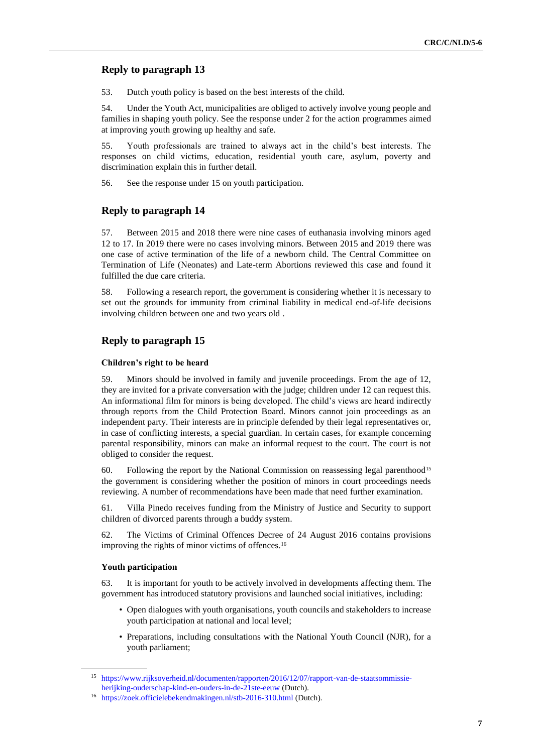53. Dutch youth policy is based on the best interests of the child.

54. Under the Youth Act, municipalities are obliged to actively involve young people and families in shaping youth policy. See the response under 2 for the action programmes aimed at improving youth growing up healthy and safe.

55. Youth professionals are trained to always act in the child's best interests. The responses on child victims, education, residential youth care, asylum, poverty and discrimination explain this in further detail.

56. See the response under 15 on youth participation.

# **Reply to paragraph 14**

57. Between 2015 and 2018 there were nine cases of euthanasia involving minors aged 12 to 17. In 2019 there were no cases involving minors. Between 2015 and 2019 there was one case of active termination of the life of a newborn child. The Central Committee on Termination of Life (Neonates) and Late-term Abortions reviewed this case and found it fulfilled the due care criteria.

58. Following a research report, the government is considering whether it is necessary to set out the grounds for immunity from criminal liability in medical end-of-life decisions involving children between one and two years old .

# **Reply to paragraph 15**

### **Children's right to be heard**

59. Minors should be involved in family and juvenile proceedings. From the age of 12, they are invited for a private conversation with the judge; children under 12 can request this. An informational film for minors is being developed. The child's views are heard indirectly through reports from the Child Protection Board. Minors cannot join proceedings as an independent party. Their interests are in principle defended by their legal representatives or, in case of conflicting interests, a special guardian. In certain cases, for example concerning parental responsibility, minors can make an informal request to the court. The court is not obliged to consider the request.

60. Following the report by the National Commission on reassessing legal parenthood<sup>15</sup> the government is considering whether the position of minors in court proceedings needs reviewing. A number of recommendations have been made that need further examination.

61. Villa Pinedo receives funding from the Ministry of Justice and Security to support children of divorced parents through a buddy system.

62. The Victims of Criminal Offences Decree of 24 August 2016 contains provisions improving the rights of minor victims of offences.<sup>16</sup>

### **Youth participation**

63. It is important for youth to be actively involved in developments affecting them. The government has introduced statutory provisions and launched social initiatives, including:

- Open dialogues with youth organisations, youth councils and stakeholders to increase youth participation at national and local level;
- Preparations, including consultations with the National Youth Council (NJR), for a youth parliament;

<sup>15</sup> [https://www.rijksoverheid.nl/documenten/rapporten/2016/12/07/rapport-van-de-staatsommissie](https://www.rijksoverheid.nl/documenten/rapporten/2016/12/07/rapport-van-de-staatsommissie-herijking-ouderschap-kind-en-ouders-in-de-21ste-eeuw)[herijking-ouderschap-kind-en-ouders-in-de-21ste-eeuw](https://www.rijksoverheid.nl/documenten/rapporten/2016/12/07/rapport-van-de-staatsommissie-herijking-ouderschap-kind-en-ouders-in-de-21ste-eeuw) (Dutch).

<sup>16</sup> <https://zoek.officielebekendmakingen.nl/stb-2016-310.html> (Dutch).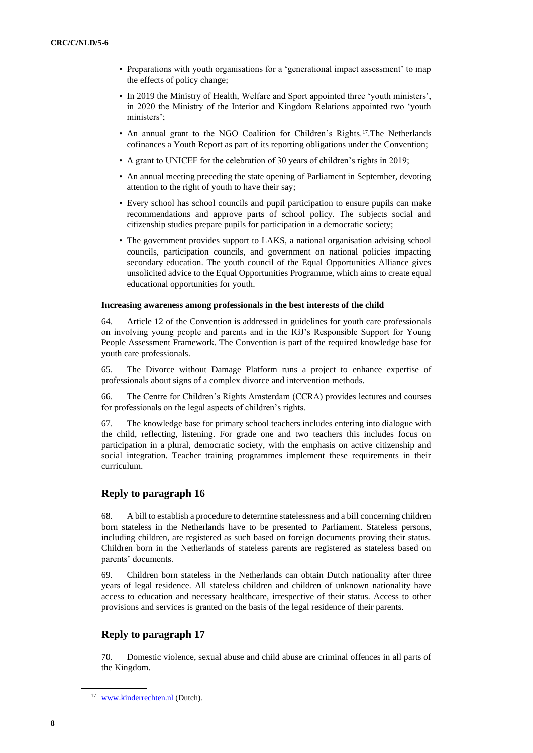- Preparations with youth organisations for a 'generational impact assessment' to map the effects of policy change;
- In 2019 the Ministry of Health, Welfare and Sport appointed three 'youth ministers', in 2020 the Ministry of the Interior and Kingdom Relations appointed two 'youth ministers';
- An annual grant to the NGO Coalition for Children's Rights.17.The Netherlands cofinances a Youth Report as part of its reporting obligations under the Convention;
- A grant to UNICEF for the celebration of 30 years of children's rights in 2019;
- An annual meeting preceding the state opening of Parliament in September, devoting attention to the right of youth to have their say;
- Every school has school councils and pupil participation to ensure pupils can make recommendations and approve parts of school policy. The subjects social and citizenship studies prepare pupils for participation in a democratic society;
- The government provides support to LAKS, a national organisation advising school councils, participation councils, and government on national policies impacting secondary education. The youth council of the Equal Opportunities Alliance gives unsolicited advice to the Equal Opportunities Programme, which aims to create equal educational opportunities for youth.

#### **Increasing awareness among professionals in the best interests of the child**

64. Article 12 of the Convention is addressed in guidelines for youth care professionals on involving young people and parents and in the IGJ's Responsible Support for Young People Assessment Framework. The Convention is part of the required knowledge base for youth care professionals.

65. The Divorce without Damage Platform runs a project to enhance expertise of professionals about signs of a complex divorce and intervention methods.

66. The Centre for Children's Rights Amsterdam (CCRA) provides lectures and courses for professionals on the legal aspects of children's rights.

67. The knowledge base for primary school teachers includes entering into dialogue with the child, reflecting, listening. For grade one and two teachers this includes focus on participation in a plural, democratic society, with the emphasis on active citizenship and social integration. Teacher training programmes implement these requirements in their curriculum.

## **Reply to paragraph 16**

68. A bill to establish a procedure to determine statelessness and a bill concerning children born stateless in the Netherlands have to be presented to Parliament. Stateless persons, including children, are registered as such based on foreign documents proving their status. Children born in the Netherlands of stateless parents are registered as stateless based on parents' documents.

69. Children born stateless in the Netherlands can obtain Dutch nationality after three years of legal residence. All stateless children and children of unknown nationality have access to education and necessary healthcare, irrespective of their status. Access to other provisions and services is granted on the basis of the legal residence of their parents.

## **Reply to paragraph 17**

70. Domestic violence, sexual abuse and child abuse are criminal offences in all parts of the Kingdom.

<sup>17</sup> [www.kinderrechten.nl](http://www.kinderrechten.nl/) (Dutch).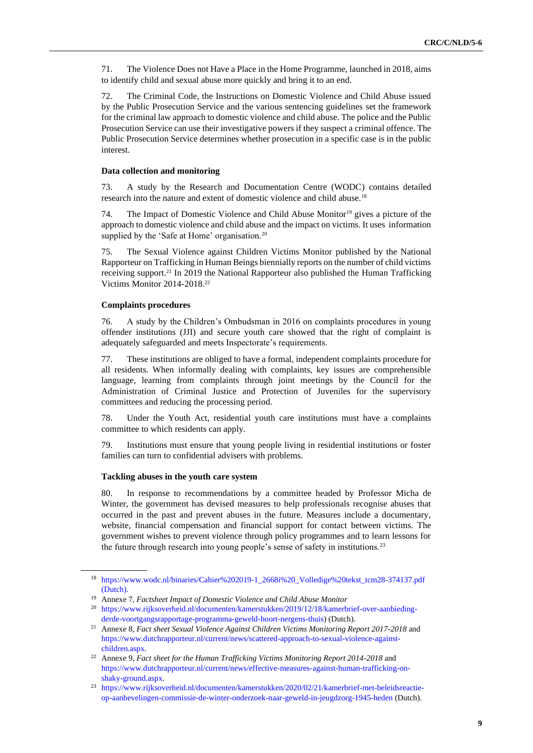71. The Violence Does not Have a Place in the Home Programme, launched in 2018, aims to identify child and sexual abuse more quickly and bring it to an end.

72. The Criminal Code, the Instructions on Domestic Violence and Child Abuse issued by the Public Prosecution Service and the various sentencing guidelines set the framework for the criminal law approach to domestic violence and child abuse. The police and the Public Prosecution Service can use their investigative powers if they suspect a criminal offence. The Public Prosecution Service determines whether prosecution in a specific case is in the public interest.

#### **Data collection and monitoring**

73. A study by the Research and Documentation Centre (WODC) contains detailed research into the nature and extent of domestic violence and child abuse.<sup>18</sup>

74. The Impact of Domestic Violence and Child Abuse Monitor<sup>19</sup> gives a picture of the approach to domestic violence and child abuse and the impact on victims. It uses information supplied by the 'Safe at Home' organisation.<sup>20</sup>

75. The Sexual Violence against Children Victims Monitor published by the National Rapporteur on Trafficking in Human Beings biennially reports on the number of child victims receiving support.<sup>21</sup> In 2019 the National Rapporteur also published the Human Trafficking Victims Monitor 2014-2018. 22

#### **Complaints procedures**

76. A study by the Children's Ombudsman in 2016 on complaints procedures in young offender institutions (JJI) and secure youth care showed that the right of complaint is adequately safeguarded and meets Inspectorate's requirements.

77. These institutions are obliged to have a formal, independent complaints procedure for all residents. When informally dealing with complaints, key issues are comprehensible language, learning from complaints through joint meetings by the Council for the Administration of Criminal Justice and Protection of Juveniles for the supervisory committees and reducing the processing period.

78. Under the Youth Act, residential youth care institutions must have a complaints committee to which residents can apply.

79. Institutions must ensure that young people living in residential institutions or foster families can turn to confidential advisers with problems.

#### **Tackling abuses in the youth care system**

80. In response to recommendations by a committee headed by Professor Micha de Winter, the government has devised measures to help professionals recognise abuses that occurred in the past and prevent abuses in the future. Measures include a documentary, website, financial compensation and financial support for contact between victims. The government wishes to prevent violence through policy programmes and to learn lessons for the future through research into young people's sense of safety in institutions.<sup>23</sup>

<sup>18</sup> [https://www.wodc.nl/binaries/Cahier%202019-1\\_2668i%20\\_Volledige%20tekst\\_tcm28-374137.pdf](https://www.wodc.nl/binaries/Cahier%202019-1_2668i%20_Volledige%20tekst_tcm28-374137.pdf)  (Dutch).

<sup>19</sup> Annexe 7, *Factsheet Impact of Domestic Violence and Child Abuse Monitor*

<sup>20</sup> [https://www.rijksoverheid.nl/documenten/kamerstukken/2019/12/18/kamerbrief-over-aanbieding](https://www.rijksoverheid.nl/documenten/kamerstukken/2019/12/18/kamerbrief-over-aanbieding-derde-voortgangsrapportage-programma-geweld-hoort-nergens-thuis)[derde-voortgangsrapportage-programma-geweld-hoort-nergens-thuis\)](https://www.rijksoverheid.nl/documenten/kamerstukken/2019/12/18/kamerbrief-over-aanbieding-derde-voortgangsrapportage-programma-geweld-hoort-nergens-thuis) (Dutch).

<sup>21</sup> Annexe 8, *Fact sheet Sexual Violence Against Children Victims Monitoring Report 2017-2018* and [https://www.dutchrapporteur.nl/current/news/scattered-approach-to-sexual-violence-against](https://www.dutchrapporteur.nl/current/news/scattered-approach-to-sexual-violence-against-children.aspx)[children.aspx.](https://www.dutchrapporteur.nl/current/news/scattered-approach-to-sexual-violence-against-children.aspx)

<sup>22</sup> Annexe 9, *Fact sheet for the Human Trafficking Victims Monitoring Report 2014-2018* and [https://www.dutchrapporteur.nl/current/news/effective-measures-against-human-trafficking-on](https://www.dutchrapporteur.nl/current/news/effective-measures-against-human-trafficking-on-shaky-ground.aspx)[shaky-ground.aspx.](https://www.dutchrapporteur.nl/current/news/effective-measures-against-human-trafficking-on-shaky-ground.aspx)

<sup>23</sup> [https://www.rijksoverheid.nl/documenten/kamerstukken/2020/02/21/kamerbrief-met-beleidsreactie](https://www.rijksoverheid.nl/documenten/kamerstukken/2020/02/21/kamerbrief-met-beleidsreactie-op-aanbevelingen-commissie-de-winter-onderzoek-naar-geweld-in-jeugdzorg-1945-heden)[op-aanbevelingen-commissie-de-winter-onderzoek-naar-geweld-in-jeugdzorg-1945-heden](https://www.rijksoverheid.nl/documenten/kamerstukken/2020/02/21/kamerbrief-met-beleidsreactie-op-aanbevelingen-commissie-de-winter-onderzoek-naar-geweld-in-jeugdzorg-1945-heden) (Dutch).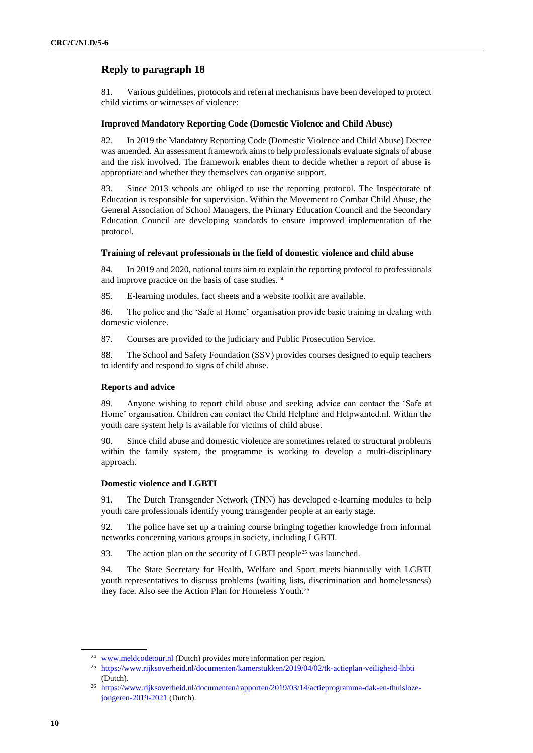81. Various guidelines, protocols and referral mechanisms have been developed to protect child victims or witnesses of violence:

#### **Improved Mandatory Reporting Code (Domestic Violence and Child Abuse)**

82. In 2019 the Mandatory Reporting Code (Domestic Violence and Child Abuse) Decree was amended. An assessment framework aims to help professionals evaluate signals of abuse and the risk involved. The framework enables them to decide whether a report of abuse is appropriate and whether they themselves can organise support.

83. Since 2013 schools are obliged to use the reporting protocol. The Inspectorate of Education is responsible for supervision. Within the Movement to Combat Child Abuse, the General Association of School Managers, the Primary Education Council and the Secondary Education Council are developing standards to ensure improved implementation of the protocol.

#### **Training of relevant professionals in the field of domestic violence and child abuse**

84. In 2019 and 2020, national tours aim to explain the reporting protocol to professionals and improve practice on the basis of case studies.<sup>24</sup>

85. E-learning modules, fact sheets and a website toolkit are available.

86. The police and the 'Safe at Home' organisation provide basic training in dealing with domestic violence.

87. Courses are provided to the judiciary and Public Prosecution Service.

88. The School and Safety Foundation (SSV) provides courses designed to equip teachers to identify and respond to signs of child abuse.

#### **Reports and advice**

89. Anyone wishing to report child abuse and seeking advice can contact the 'Safe at Home' organisation. Children can contact the Child Helpline and Helpwanted.nl. Within the youth care system help is available for victims of child abuse.

90. Since child abuse and domestic violence are sometimes related to structural problems within the family system, the programme is working to develop a multi-disciplinary approach.

## **Domestic violence and LGBTI**

91. The Dutch Transgender Network (TNN) has developed e-learning modules to help youth care professionals identify young transgender people at an early stage.

92. The police have set up a training course bringing together knowledge from informal networks concerning various groups in society, including LGBTI.

93. The action plan on the security of LGBTI people<sup>25</sup> was launched.

94. The State Secretary for Health, Welfare and Sport meets biannually with LGBTI youth representatives to discuss problems (waiting lists, discrimination and homelessness) they face. Also see the Action Plan for Homeless Youth.<sup>26</sup>

<sup>24</sup> [www.meldcodetour.nl](http://www.meldcodetour.nl/) (Dutch) provides more information per region.

<sup>25</sup> <https://www.rijksoverheid.nl/documenten/kamerstukken/2019/04/02/tk-actieplan-veiligheid-lhbti> (Dutch).

<sup>26</sup> [https://www.rijksoverheid.nl/documenten/rapporten/2019/03/14/actieprogramma-dak-en-thuisloze](https://www.rijksoverheid.nl/documenten/rapporten/2019/03/14/actieprogramma-dak-en-thuisloze-jongeren-2019-2021)[jongeren-2019-2021](https://www.rijksoverheid.nl/documenten/rapporten/2019/03/14/actieprogramma-dak-en-thuisloze-jongeren-2019-2021) (Dutch).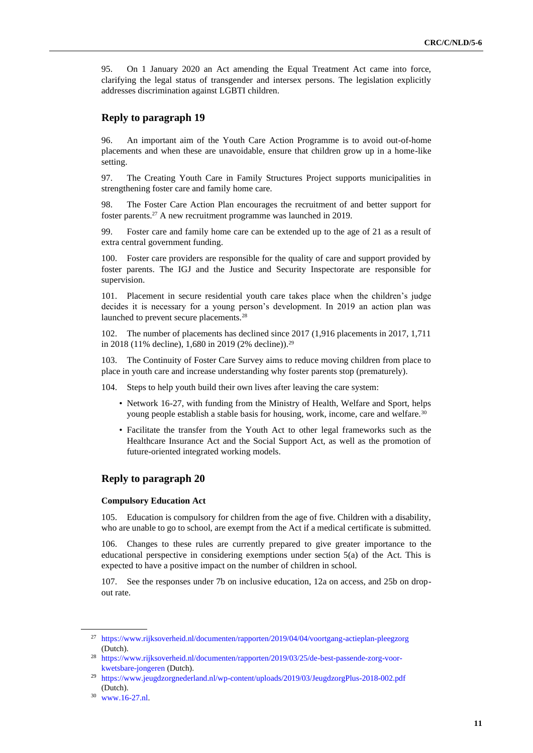95. On 1 January 2020 an Act amending the Equal Treatment Act came into force, clarifying the legal status of transgender and intersex persons. The legislation explicitly addresses discrimination against LGBTI children.

#### **Reply to paragraph 19**

96. An important aim of the Youth Care Action Programme is to avoid out-of-home placements and when these are unavoidable, ensure that children grow up in a home-like setting.

97. The Creating Youth Care in Family Structures Project supports municipalities in strengthening foster care and family home care.

98. The Foster Care Action Plan encourages the recruitment of and better support for foster parents.<sup>27</sup> A new recruitment programme was launched in 2019.

99. Foster care and family home care can be extended up to the age of 21 as a result of extra central government funding.

100. Foster care providers are responsible for the quality of care and support provided by foster parents. The IGJ and the Justice and Security Inspectorate are responsible for supervision.

101. Placement in secure residential youth care takes place when the children's judge decides it is necessary for a young person's development. In 2019 an action plan was launched to prevent secure placements.<sup>28</sup>

102. The number of placements has declined since 2017 (1,916 placements in 2017, 1,711 in 2018 (11% decline), 1,680 in 2019 (2% decline)).<sup>29</sup>

103. The Continuity of Foster Care Survey aims to reduce moving children from place to place in youth care and increase understanding why foster parents stop (prematurely).

104. Steps to help youth build their own lives after leaving the care system:

- Network 16-27, with funding from the Ministry of Health, Welfare and Sport, helps young people establish a stable basis for housing, work, income, care and welfare.<sup>30</sup>
- Facilitate the transfer from the Youth Act to other legal frameworks such as the Healthcare Insurance Act and the Social Support Act, as well as the promotion of future-oriented integrated working models.

### **Reply to paragraph 20**

#### **Compulsory Education Act**

105. Education is compulsory for children from the age of five. Children with a disability, who are unable to go to school, are exempt from the Act if a medical certificate is submitted.

106. Changes to these rules are currently prepared to give greater importance to the educational perspective in considering exemptions under section 5(a) of the Act. This is expected to have a positive impact on the number of children in school.

107. See the responses under 7b on inclusive education, 12a on access, and 25b on dropout rate.

<sup>27</sup> <https://www.rijksoverheid.nl/documenten/rapporten/2019/04/04/voortgang-actieplan-pleegzorg> (Dutch).

<sup>28</sup> [https://www.rijksoverheid.nl/documenten/rapporten/2019/03/25/de-best-passende-zorg-voor](https://www.rijksoverheid.nl/documenten/rapporten/2019/03/25/de-best-passende-zorg-voor-kwetsbare-jongeren)[kwetsbare-jongeren](https://www.rijksoverheid.nl/documenten/rapporten/2019/03/25/de-best-passende-zorg-voor-kwetsbare-jongeren) (Dutch).

<sup>29</sup> <https://www.jeugdzorgnederland.nl/wp-content/uploads/2019/03/JeugdzorgPlus-2018-002.pdf> (Dutch).

<sup>30</sup> [www.16-27.nl.](http://www.16-27.nl/)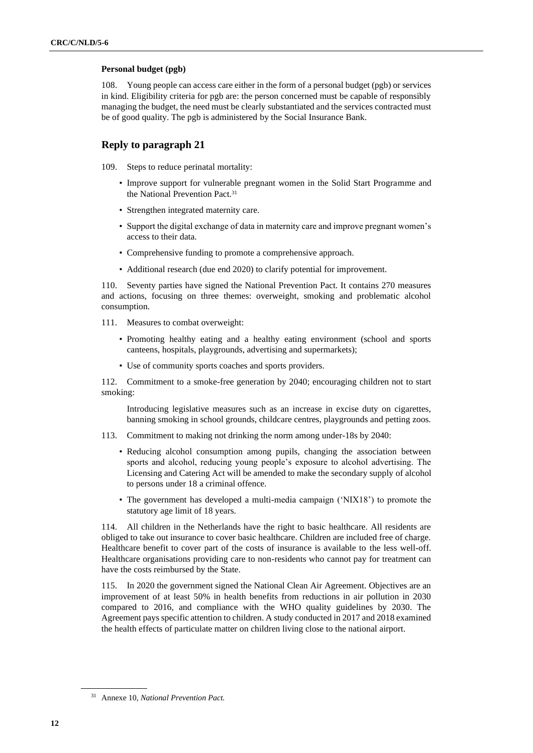#### **Personal budget (pgb)**

108. Young people can access care either in the form of a personal budget (pgb) or services in kind. Eligibility criteria for pgb are: the person concerned must be capable of responsibly managing the budget, the need must be clearly substantiated and the services contracted must be of good quality. The pgb is administered by the Social Insurance Bank.

# **Reply to paragraph 21**

109. Steps to reduce perinatal mortality:

- Improve support for vulnerable pregnant women in the Solid Start Programme and the National Prevention Pact.<sup>31</sup>
- Strengthen integrated maternity care.
- Support the digital exchange of data in maternity care and improve pregnant women's access to their data.
- Comprehensive funding to promote a comprehensive approach.
- Additional research (due end 2020) to clarify potential for improvement.

110. Seventy parties have signed the National Prevention Pact. It contains 270 measures and actions, focusing on three themes: overweight, smoking and problematic alcohol consumption.

- 111. Measures to combat overweight:
	- Promoting healthy eating and a healthy eating environment (school and sports canteens, hospitals, playgrounds, advertising and supermarkets);
	- Use of community sports coaches and sports providers.

112. Commitment to a smoke-free generation by 2040; encouraging children not to start smoking:

Introducing legislative measures such as an increase in excise duty on cigarettes, banning smoking in school grounds, childcare centres, playgrounds and petting zoos.

- 113. Commitment to making not drinking the norm among under-18s by 2040:
	- Reducing alcohol consumption among pupils, changing the association between sports and alcohol, reducing young people's exposure to alcohol advertising. The Licensing and Catering Act will be amended to make the secondary supply of alcohol to persons under 18 a criminal offence.
	- The government has developed a multi-media campaign ('NIX18') to promote the statutory age limit of 18 years.

114. All children in the Netherlands have the right to basic healthcare. All residents are obliged to take out insurance to cover basic healthcare. Children are included free of charge. Healthcare benefit to cover part of the costs of insurance is available to the less well-off. Healthcare organisations providing care to non-residents who cannot pay for treatment can have the costs reimbursed by the State.

115. In 2020 the government signed the National Clean Air Agreement. Objectives are an improvement of at least 50% in health benefits from reductions in air pollution in 2030 compared to 2016, and compliance with the WHO quality guidelines by 2030. The Agreement pays specific attention to children. A study conducted in 2017 and 2018 examined the health effects of particulate matter on children living close to the national airport.

<sup>31</sup> Annexe 10, *National Prevention Pact.*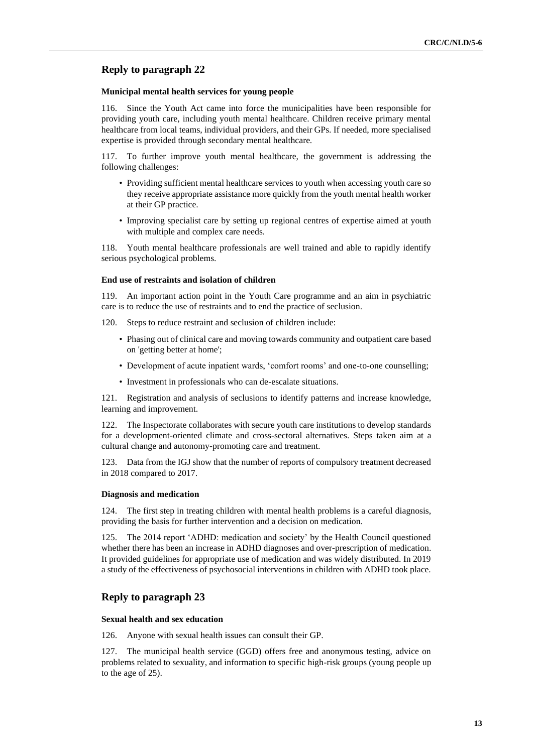#### **Municipal mental health services for young people**

116. Since the Youth Act came into force the municipalities have been responsible for providing youth care, including youth mental healthcare. Children receive primary mental healthcare from local teams, individual providers, and their GPs. If needed, more specialised expertise is provided through secondary mental healthcare.

117. To further improve youth mental healthcare, the government is addressing the following challenges:

- Providing sufficient mental healthcare services to youth when accessing youth care so they receive appropriate assistance more quickly from the youth mental health worker at their GP practice.
- Improving specialist care by setting up regional centres of expertise aimed at youth with multiple and complex care needs.

118. Youth mental healthcare professionals are well trained and able to rapidly identify serious psychological problems.

#### **End use of restraints and isolation of children**

119. An important action point in the Youth Care programme and an aim in psychiatric care is to reduce the use of restraints and to end the practice of seclusion.

- 120. Steps to reduce restraint and seclusion of children include:
	- Phasing out of clinical care and moving towards community and outpatient care based on 'getting better at home';
	- Development of acute inpatient wards, 'comfort rooms' and one-to-one counselling;
	- Investment in professionals who can de-escalate situations.

121. Registration and analysis of seclusions to identify patterns and increase knowledge, learning and improvement.

122. The Inspectorate collaborates with secure youth care institutions to develop standards for a development-oriented climate and cross-sectoral alternatives. Steps taken aim at a cultural change and autonomy-promoting care and treatment.

123. Data from the IGJ show that the number of reports of compulsory treatment decreased in 2018 compared to 2017.

#### **Diagnosis and medication**

124. The first step in treating children with mental health problems is a careful diagnosis, providing the basis for further intervention and a decision on medication.

125. The 2014 report 'ADHD: medication and society' by the Health Council questioned whether there has been an increase in ADHD diagnoses and over-prescription of medication. It provided guidelines for appropriate use of medication and was widely distributed. In 2019 a study of the effectiveness of psychosocial interventions in children with ADHD took place.

## **Reply to paragraph 23**

#### **Sexual health and sex education**

126. Anyone with sexual health issues can consult their GP.

127. The municipal health service (GGD) offers free and anonymous testing, advice on problems related to sexuality, and information to specific high-risk groups (young people up to the age of 25).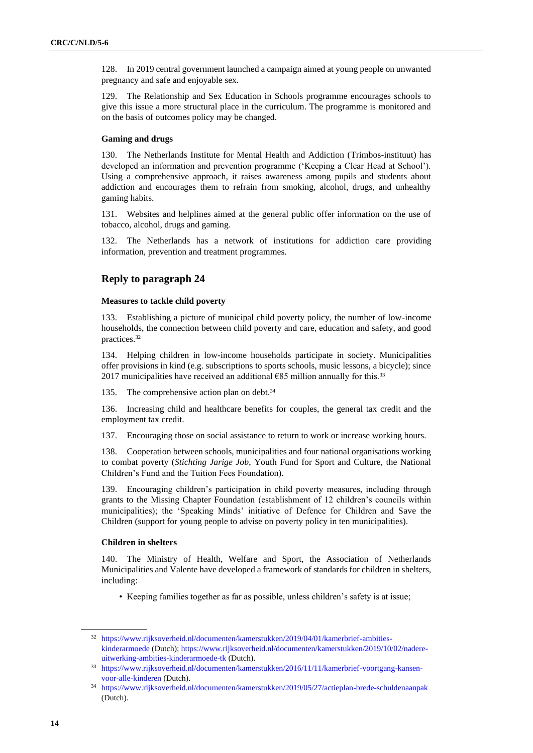128. In 2019 central government launched a campaign aimed at young people on unwanted pregnancy and safe and enjoyable sex.

129. The Relationship and Sex Education in Schools programme encourages schools to give this issue a more structural place in the curriculum. The programme is monitored and on the basis of outcomes policy may be changed.

#### **Gaming and drugs**

130. The Netherlands Institute for Mental Health and Addiction (Trimbos-instituut) has developed an information and prevention programme ('Keeping a Clear Head at School'). Using a comprehensive approach, it raises awareness among pupils and students about addiction and encourages them to refrain from smoking, alcohol, drugs, and unhealthy gaming habits.

131. Websites and helplines aimed at the general public offer information on the use of tobacco, alcohol, drugs and gaming.

132. The Netherlands has a network of institutions for addiction care providing information, prevention and treatment programmes.

# **Reply to paragraph 24**

#### **Measures to tackle child poverty**

133. Establishing a picture of municipal child poverty policy, the number of low-income households, the connection between child poverty and care, education and safety, and good practices.<sup>32</sup>

134. Helping children in low-income households participate in society. Municipalities offer provisions in kind (e.g. subscriptions to sports schools, music lessons, a bicycle); since 2017 municipalities have received an additional  $€85$  million annually for this.<sup>33</sup>

135. The comprehensive action plan on debt.<sup>34</sup>

136. Increasing child and healthcare benefits for couples, the general tax credit and the employment tax credit.

137. Encouraging those on social assistance to return to work or increase working hours.

138. Cooperation between schools, municipalities and four national organisations working to combat poverty (*Stichting Jarige Job*, Youth Fund for Sport and Culture, the National Children's Fund and the Tuition Fees Foundation).

139. Encouraging children's participation in child poverty measures, including through grants to the Missing Chapter Foundation (establishment of 12 children's councils within municipalities); the 'Speaking Minds' initiative of Defence for Children and Save the Children (support for young people to advise on poverty policy in ten municipalities).

#### **Children in shelters**

140. The Ministry of Health, Welfare and Sport, the Association of Netherlands Municipalities and Valente have developed a framework of standards for children in shelters, including:

• Keeping families together as far as possible, unless children's safety is at issue;

<sup>32</sup> [https://www.rijksoverheid.nl/documenten/kamerstukken/2019/04/01/kamerbrief-ambities](https://www.rijksoverheid.nl/documenten/kamerstukken/2019/04/01/kamerbrief-ambities-kinderarmoede)[kinderarmoede](https://www.rijksoverheid.nl/documenten/kamerstukken/2019/04/01/kamerbrief-ambities-kinderarmoede) (Dutch)[; https://www.rijksoverheid.nl/documenten/kamerstukken/2019/10/02/nadere](https://www.rijksoverheid.nl/documenten/kamerstukken/2019/10/02/nadere-uitwerking-ambities-kinderarmoede-tk)[uitwerking-ambities-kinderarmoede-tk](https://www.rijksoverheid.nl/documenten/kamerstukken/2019/10/02/nadere-uitwerking-ambities-kinderarmoede-tk) (Dutch).

<sup>33</sup> [https://www.rijksoverheid.nl/documenten/kamerstukken/2016/11/11/kamerbrief-voortgang-kansen](https://www.rijksoverheid.nl/documenten/kamerstukken/2016/11/11/kamerbrief-voortgang-kansen-voor-alle-kinderen)[voor-alle-kinderen](https://www.rijksoverheid.nl/documenten/kamerstukken/2016/11/11/kamerbrief-voortgang-kansen-voor-alle-kinderen) (Dutch).

<sup>34</sup> <https://www.rijksoverheid.nl/documenten/kamerstukken/2019/05/27/actieplan-brede-schuldenaanpak> (Dutch).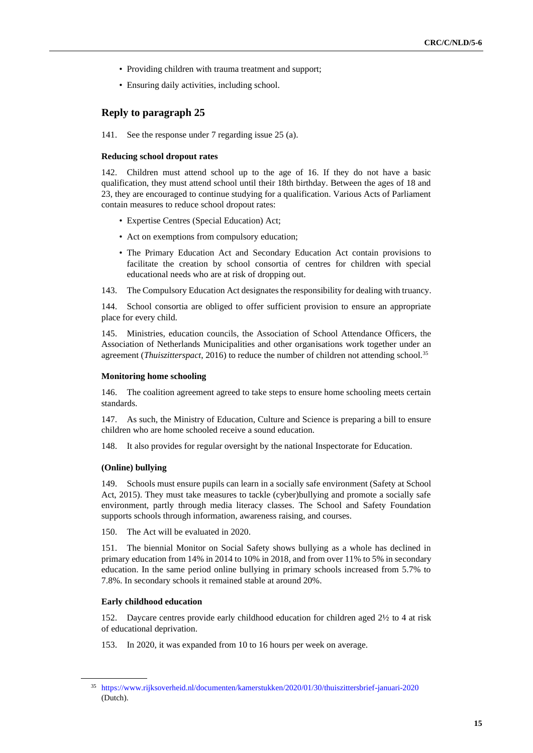- Providing children with trauma treatment and support;
- Ensuring daily activities, including school.

141. See the response under 7 regarding issue 25 (a).

#### **Reducing school dropout rates**

142. Children must attend school up to the age of 16. If they do not have a basic qualification, they must attend school until their 18th birthday. Between the ages of 18 and 23, they are encouraged to continue studying for a qualification. Various Acts of Parliament contain measures to reduce school dropout rates:

- Expertise Centres (Special Education) Act;
- Act on exemptions from compulsory education;
- The Primary Education Act and Secondary Education Act contain provisions to facilitate the creation by school consortia of centres for children with special educational needs who are at risk of dropping out.
- 143. The Compulsory Education Act designates the responsibility for dealing with truancy.

144. School consortia are obliged to offer sufficient provision to ensure an appropriate place for every child.

145. Ministries, education councils, the Association of School Attendance Officers, the Association of Netherlands Municipalities and other organisations work together under an agreement (*Thuiszitterspact*, 2016) to reduce the number of children not attending school.<sup>35</sup>

#### **Monitoring home schooling**

146. The coalition agreement agreed to take steps to ensure home schooling meets certain standards.

147. As such, the Ministry of Education, Culture and Science is preparing a bill to ensure children who are home schooled receive a sound education.

148. It also provides for regular oversight by the national Inspectorate for Education.

### **(Online) bullying**

149. Schools must ensure pupils can learn in a socially safe environment (Safety at School Act, 2015). They must take measures to tackle (cyber)bullying and promote a socially safe environment, partly through media literacy classes. The School and Safety Foundation supports schools through information, awareness raising, and courses.

150. The Act will be evaluated in 2020.

151. The biennial Monitor on Social Safety shows bullying as a whole has declined in primary education from 14% in 2014 to 10% in 2018, and from over 11% to 5% in secondary education. In the same period online bullying in primary schools increased from 5.7% to 7.8%. In secondary schools it remained stable at around 20%.

### **Early childhood education**

152. Daycare centres provide early childhood education for children aged 2½ to 4 at risk of educational deprivation.

153. In 2020, it was expanded from 10 to 16 hours per week on average.

<sup>35</sup> <https://www.rijksoverheid.nl/documenten/kamerstukken/2020/01/30/thuiszittersbrief-januari-2020> (Dutch).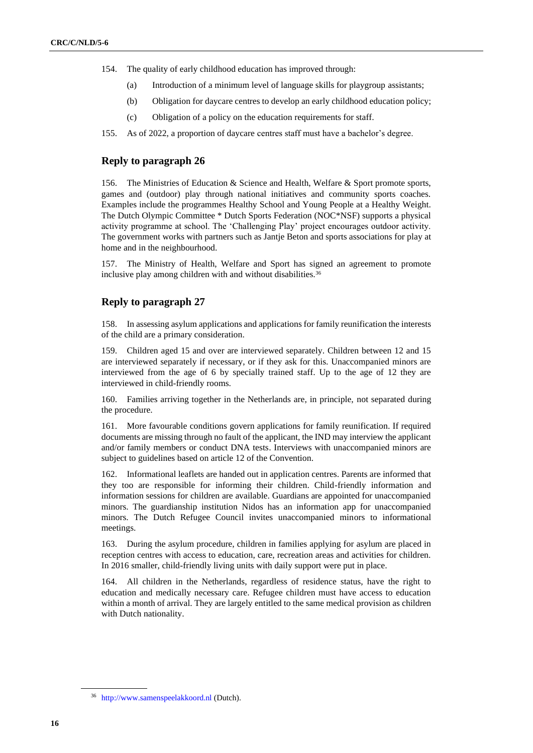- 154. The quality of early childhood education has improved through:
	- (a) Introduction of a minimum level of language skills for playgroup assistants;
	- (b) Obligation for daycare centres to develop an early childhood education policy;
	- (c) Obligation of a policy on the education requirements for staff.
- 155. As of 2022, a proportion of daycare centres staff must have a bachelor's degree.

156. The Ministries of Education & Science and Health, Welfare & Sport promote sports, games and (outdoor) play through national initiatives and community sports coaches. Examples include the programmes Healthy School and Young People at a Healthy Weight. The Dutch Olympic Committee \* Dutch Sports Federation (NOC\*NSF) supports a physical activity programme at school. The 'Challenging Play' project encourages outdoor activity. The government works with partners such as Jantje Beton and sports associations for play at home and in the neighbourhood.

157. The Ministry of Health, Welfare and Sport has signed an agreement to promote inclusive play among children with and without disabilities.<sup>36</sup>

## **Reply to paragraph 27**

158. In assessing asylum applications and applications for family reunification the interests of the child are a primary consideration.

159. Children aged 15 and over are interviewed separately. Children between 12 and 15 are interviewed separately if necessary, or if they ask for this. Unaccompanied minors are interviewed from the age of 6 by specially trained staff. Up to the age of 12 they are interviewed in child-friendly rooms.

160. Families arriving together in the Netherlands are, in principle, not separated during the procedure.

161. More favourable conditions govern applications for family reunification. If required documents are missing through no fault of the applicant, the IND may interview the applicant and/or family members or conduct DNA tests. Interviews with unaccompanied minors are subject to guidelines based on article 12 of the Convention.

162. Informational leaflets are handed out in application centres. Parents are informed that they too are responsible for informing their children. Child-friendly information and information sessions for children are available. Guardians are appointed for unaccompanied minors. The guardianship institution Nidos has an information app for unaccompanied minors. The Dutch Refugee Council invites unaccompanied minors to informational meetings.

163. During the asylum procedure, children in families applying for asylum are placed in reception centres with access to education, care, recreation areas and activities for children. In 2016 smaller, child-friendly living units with daily support were put in place.

All children in the Netherlands, regardless of residence status, have the right to education and medically necessary care. Refugee children must have access to education within a month of arrival. They are largely entitled to the same medical provision as children with Dutch nationality.

<sup>36</sup> [http://www.samenspeelakkoord.nl](http://www.samenspeelakkoord.nl/) (Dutch).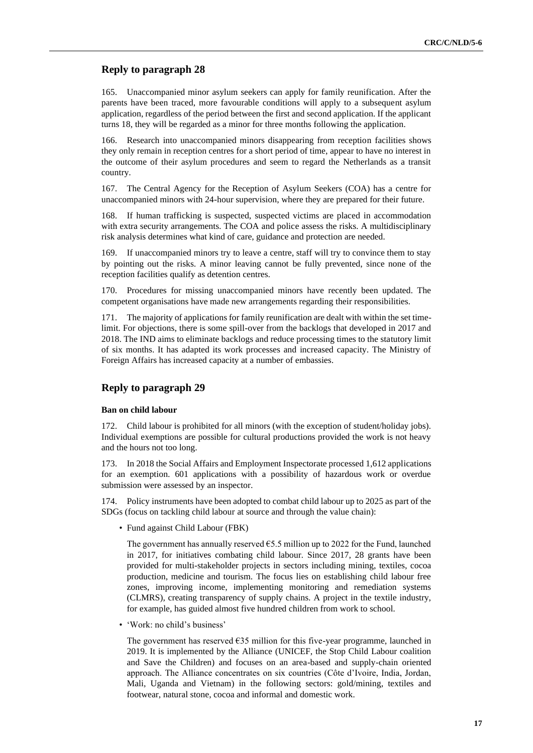165. Unaccompanied minor asylum seekers can apply for family reunification. After the parents have been traced, more favourable conditions will apply to a subsequent asylum application, regardless of the period between the first and second application. If the applicant turns 18, they will be regarded as a minor for three months following the application.

166. Research into unaccompanied minors disappearing from reception facilities shows they only remain in reception centres for a short period of time, appear to have no interest in the outcome of their asylum procedures and seem to regard the Netherlands as a transit country.

167. The Central Agency for the Reception of Asylum Seekers (COA) has a centre for unaccompanied minors with 24-hour supervision, where they are prepared for their future.

168. If human trafficking is suspected, suspected victims are placed in accommodation with extra security arrangements. The COA and police assess the risks. A multidisciplinary risk analysis determines what kind of care, guidance and protection are needed.

If unaccompanied minors try to leave a centre, staff will try to convince them to stay by pointing out the risks. A minor leaving cannot be fully prevented, since none of the reception facilities qualify as detention centres.

170. Procedures for missing unaccompanied minors have recently been updated. The competent organisations have made new arrangements regarding their responsibilities.

171. The majority of applications for family reunification are dealt with within the set timelimit. For objections, there is some spill-over from the backlogs that developed in 2017 and 2018. The IND aims to eliminate backlogs and reduce processing times to the statutory limit of six months. It has adapted its work processes and increased capacity. The Ministry of Foreign Affairs has increased capacity at a number of embassies.

# **Reply to paragraph 29**

#### **Ban on child labour**

172. Child labour is prohibited for all minors (with the exception of student/holiday jobs). Individual exemptions are possible for cultural productions provided the work is not heavy and the hours not too long.

173. In 2018 the Social Affairs and Employment Inspectorate processed 1,612 applications for an exemption. 601 applications with a possibility of hazardous work or overdue submission were assessed by an inspector.

174. Policy instruments have been adopted to combat child labour up to 2025 as part of the SDGs (focus on tackling child labour at source and through the value chain):

• Fund against Child Labour (FBK)

The government has annually reserved  $\epsilon$ 5.5 million up to 2022 for the Fund, launched in 2017, for initiatives combating child labour. Since 2017, 28 grants have been provided for multi-stakeholder projects in sectors including mining, textiles, cocoa production, medicine and tourism. The focus lies on establishing child labour free zones, improving income, implementing monitoring and remediation systems (CLMRS), creating transparency of supply chains. A project in the textile industry, for example, has guided almost five hundred children from work to school.

• 'Work: no child's business'

The government has reserved  $\epsilon$ 35 million for this five-year programme, launched in 2019. It is implemented by the Alliance (UNICEF, the Stop Child Labour coalition and Save the Children) and focuses on an area-based and supply-chain oriented approach. The Alliance concentrates on six countries (Côte d'Ivoire, India, Jordan, Mali, Uganda and Vietnam) in the following sectors: gold/mining, textiles and footwear, natural stone, cocoa and informal and domestic work.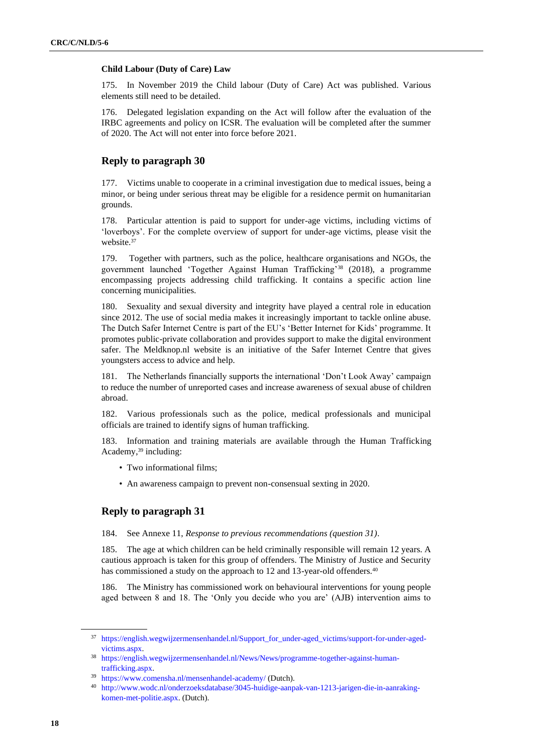#### **Child Labour (Duty of Care) Law**

175. In November 2019 the Child labour (Duty of Care) Act was published. Various elements still need to be detailed.

176. Delegated legislation expanding on the Act will follow after the evaluation of the IRBC agreements and policy on ICSR. The evaluation will be completed after the summer of 2020. The Act will not enter into force before 2021.

# **Reply to paragraph 30**

177. Victims unable to cooperate in a criminal investigation due to medical issues, being a minor, or being under serious threat may be eligible for a residence permit on humanitarian grounds.

178. Particular attention is paid to support for under-age victims, including victims of 'loverboys'. For the complete overview of support for under-age victims, please visit the website.<sup>37</sup>

179. Together with partners, such as the police, healthcare organisations and NGOs, the government launched 'Together Against Human Trafficking'<sup>38</sup> (2018), a programme encompassing projects addressing child trafficking. It contains a specific action line concerning municipalities.

180. Sexuality and sexual diversity and integrity have played a central role in education since 2012. The use of social media makes it increasingly important to tackle online abuse. The Dutch Safer Internet Centre is part of the EU's 'Better Internet for Kids' programme. It promotes public-private collaboration and provides support to make the digital environment safer. The Meldknop.nl website is an initiative of the Safer Internet Centre that gives youngsters access to advice and help.

181. The Netherlands financially supports the international 'Don't Look Away' campaign to reduce the number of unreported cases and increase awareness of sexual abuse of children abroad.

182. Various professionals such as the police, medical professionals and municipal officials are trained to identify signs of human trafficking.

183. Information and training materials are available through the Human Trafficking Academy, <sup>39</sup> including:

- Two informational films;
- An awareness campaign to prevent non-consensual sexting in 2020.

# **Reply to paragraph 31**

184. See Annexe 11, *Response to previous recommendations (question 31)*.

185. The age at which children can be held criminally responsible will remain 12 years. A cautious approach is taken for this group of offenders. The Ministry of Justice and Security has commissioned a study on the approach to 12 and 13-year-old offenders.<sup>40</sup>

186. The Ministry has commissioned work on behavioural interventions for young people aged between 8 and 18. The 'Only you decide who you are' (AJB) intervention aims to

<sup>37</sup> [https://english.wegwijzermensenhandel.nl/Support\\_for\\_under-aged\\_victims/support-for-under-aged](https://english.wegwijzermensenhandel.nl/Support_for_under-aged_victims/support-for-under-aged-victims.aspx)[victims.aspx.](https://english.wegwijzermensenhandel.nl/Support_for_under-aged_victims/support-for-under-aged-victims.aspx)

<sup>38</sup> [https://english.wegwijzermensenhandel.nl/News/News/programme-together-against-human](https://english.wegwijzermensenhandel.nl/News/News/programme-together-against-human-trafficking.aspx)[trafficking.aspx.](https://english.wegwijzermensenhandel.nl/News/News/programme-together-against-human-trafficking.aspx)

<sup>39</sup> <https://www.comensha.nl/mensenhandel-academy/> (Dutch).

<sup>40</sup> [http://www.wodc.nl/onderzoeksdatabase/3045-huidige-aanpak-van-1213-jarigen-die-in-aanraking](http://www.wodc.nl/onderzoeksdatabase/3045-huidige-aanpak-van-1213-jarigen-die-in-aanraking-komen-met-politie.aspx)[komen-met-politie.aspx.](http://www.wodc.nl/onderzoeksdatabase/3045-huidige-aanpak-van-1213-jarigen-die-in-aanraking-komen-met-politie.aspx) (Dutch).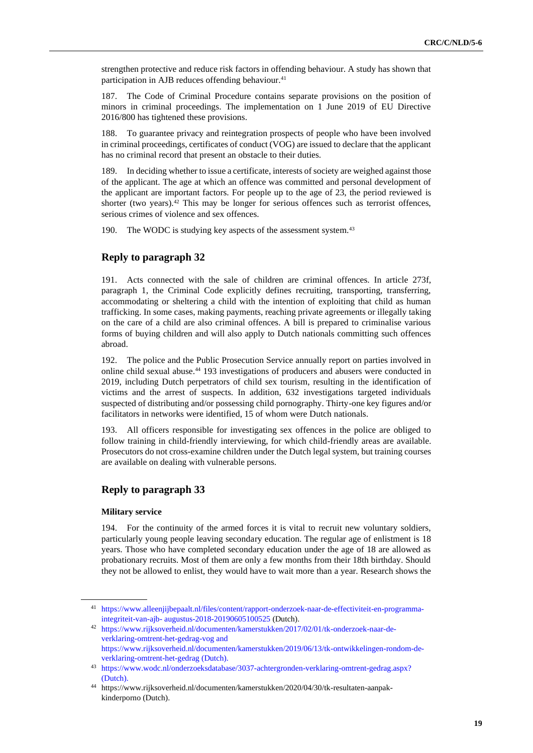strengthen protective and reduce risk factors in offending behaviour. A study has shown that participation in AJB reduces offending behaviour.<sup>41</sup>

187. The Code of Criminal Procedure contains separate provisions on the position of minors in criminal proceedings. The implementation on 1 June 2019 of EU Directive 2016/800 has tightened these provisions.

188. To guarantee privacy and reintegration prospects of people who have been involved in criminal proceedings, certificates of conduct (VOG) are issued to declare that the applicant has no criminal record that present an obstacle to their duties.

189. In deciding whether to issue a certificate, interests of society are weighed against those of the applicant. The age at which an offence was committed and personal development of the applicant are important factors. For people up to the age of 23, the period reviewed is shorter (two years). $42$  This may be longer for serious offences such as terrorist offences, serious crimes of violence and sex offences.

190. The WODC is studying key aspects of the assessment system.<sup>43</sup>

## **Reply to paragraph 32**

191. Acts connected with the sale of children are criminal offences. In article 273f, paragraph 1, the Criminal Code explicitly defines recruiting, transporting, transferring, accommodating or sheltering a child with the intention of exploiting that child as human trafficking. In some cases, making payments, reaching private agreements or illegally taking on the care of a child are also criminal offences. A bill is prepared to criminalise various forms of buying children and will also apply to Dutch nationals committing such offences abroad.

192. The police and the Public Prosecution Service annually report on parties involved in online child sexual abuse.<sup>44</sup> 193 investigations of producers and abusers were conducted in 2019, including Dutch perpetrators of child sex tourism, resulting in the identification of victims and the arrest of suspects. In addition, 632 investigations targeted individuals suspected of distributing and/or possessing child pornography. Thirty-one key figures and/or facilitators in networks were identified, 15 of whom were Dutch nationals.

193. All officers responsible for investigating sex offences in the police are obliged to follow training in child-friendly interviewing, for which child-friendly areas are available. Prosecutors do not cross-examine children under the Dutch legal system, but training courses are available on dealing with vulnerable persons.

## **Reply to paragraph 33**

#### **Military service**

194. For the continuity of the armed forces it is vital to recruit new voluntary soldiers, particularly young people leaving secondary education. The regular age of enlistment is 18 years. Those who have completed secondary education under the age of 18 are allowed as probationary recruits. Most of them are only a few months from their 18th birthday. Should they not be allowed to enlist, they would have to wait more than a year. Research shows the

<sup>41</sup> [https://www.alleenjijbepaalt.nl/files/content/rapport-onderzoek-naar-de-effectiviteit-en-programma](https://www.alleenjijbepaalt.nl/files/content/rapport-onderzoek-naar-de-effectiviteit-en-programma-integriteit-van-ajb-%20augustus-2018-20190605100525)integriteit-van-ajb- [augustus-2018-20190605100525](https://www.alleenjijbepaalt.nl/files/content/rapport-onderzoek-naar-de-effectiviteit-en-programma-integriteit-van-ajb-%20augustus-2018-20190605100525) (Dutch).

<sup>42</sup> [https://www.rijksoverheid.nl/documenten/kamerstukken/2017/02/01/tk-onderzoek-naar-de](https://www.rijksoverheid.nl/documenten/kamerstukken/2017/02/01/tk-onderzoek-naar-de-verklaring-omtrent-het-gedrag-vog)[verklaring-omtrent-het-gedrag-vog](https://www.rijksoverheid.nl/documenten/kamerstukken/2017/02/01/tk-onderzoek-naar-de-verklaring-omtrent-het-gedrag-vog) and [https://www.rijksoverheid.nl/documenten/kamerstukken/2019/06/13/tk-ontwikkelingen-rondom-de](https://www.rijksoverheid.nl/documenten/kamerstukken/2019/06/13/tk-ontwikkelingen-rondom-de-verklaring-omtrent-het-gedrag)[verklaring-omtrent-het-gedrag](https://www.rijksoverheid.nl/documenten/kamerstukken/2019/06/13/tk-ontwikkelingen-rondom-de-verklaring-omtrent-het-gedrag) (Dutch).

<sup>43</sup> [https://www.wodc.nl/onderzoeksdatabase/3037-achtergronden-verklaring-omtrent-gedrag.aspx?](https://www.wodc.nl/onderzoeksdatabase/3037-achtergronden-verklaring-omtrent-gedrag.aspx?c=&k=&id=6QCpWaPXk15CdMEUa-IYWtid_2DIFYYwJxA7Hdob4AxijN5VYTOcr-8vre_j8voYmFdR70yo7EvadX5fhfKOSA2) (Dutch).

<sup>44</sup> https://www.rijksoverheid.nl/documenten/kamerstukken/2020/04/30/tk-resultaten-aanpakkinderporno (Dutch).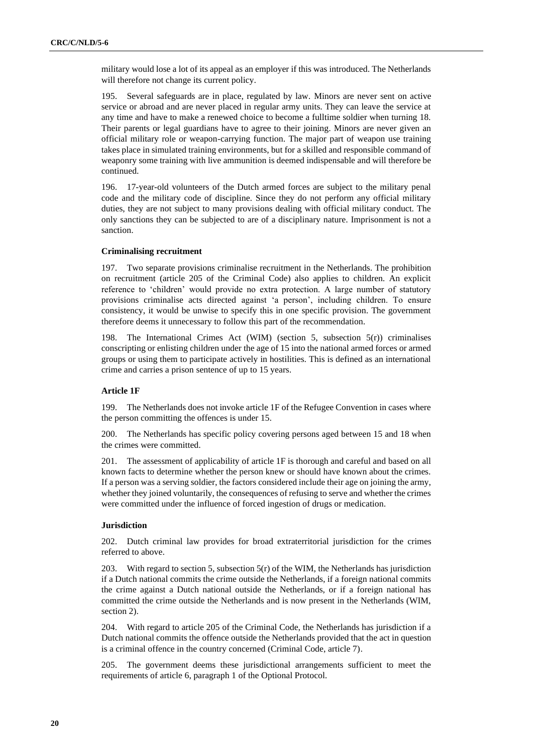military would lose a lot of its appeal as an employer if this was introduced. The Netherlands will therefore not change its current policy.

195. Several safeguards are in place, regulated by law. Minors are never sent on active service or abroad and are never placed in regular army units. They can leave the service at any time and have to make a renewed choice to become a fulltime soldier when turning 18. Their parents or legal guardians have to agree to their joining. Minors are never given an official military role or weapon-carrying function. The major part of weapon use training takes place in simulated training environments, but for a skilled and responsible command of weaponry some training with live ammunition is deemed indispensable and will therefore be continued.

196. 17-year-old volunteers of the Dutch armed forces are subject to the military penal code and the military code of discipline. Since they do not perform any official military duties, they are not subject to many provisions dealing with official military conduct. The only sanctions they can be subjected to are of a disciplinary nature. Imprisonment is not a sanction.

#### **Criminalising recruitment**

197. Two separate provisions criminalise recruitment in the Netherlands. The prohibition on recruitment (article 205 of the Criminal Code) also applies to children. An explicit reference to 'children' would provide no extra protection. A large number of statutory provisions criminalise acts directed against 'a person', including children. To ensure consistency, it would be unwise to specify this in one specific provision. The government therefore deems it unnecessary to follow this part of the recommendation.

198. The International Crimes Act (WIM) (section 5, subsection 5(r)) criminalises conscripting or enlisting children under the age of 15 into the national armed forces or armed groups or using them to participate actively in hostilities. This is defined as an international crime and carries a prison sentence of up to 15 years.

#### **Article 1F**

199. The Netherlands does not invoke article 1F of the Refugee Convention in cases where the person committing the offences is under 15.

200. The Netherlands has specific policy covering persons aged between 15 and 18 when the crimes were committed.

201. The assessment of applicability of article 1F is thorough and careful and based on all known facts to determine whether the person knew or should have known about the crimes. If a person was a serving soldier, the factors considered include their age on joining the army, whether they joined voluntarily, the consequences of refusing to serve and whether the crimes were committed under the influence of forced ingestion of drugs or medication.

#### **Jurisdiction**

202. Dutch criminal law provides for broad extraterritorial jurisdiction for the crimes referred to above.

203. With regard to section 5, subsection  $5(r)$  of the WIM, the Netherlands has jurisdiction if a Dutch national commits the crime outside the Netherlands, if a foreign national commits the crime against a Dutch national outside the Netherlands, or if a foreign national has committed the crime outside the Netherlands and is now present in the Netherlands (WIM, section 2).

204. With regard to article 205 of the Criminal Code, the Netherlands has jurisdiction if a Dutch national commits the offence outside the Netherlands provided that the act in question is a criminal offence in the country concerned (Criminal Code, article 7).

205. The government deems these jurisdictional arrangements sufficient to meet the requirements of article 6, paragraph 1 of the Optional Protocol.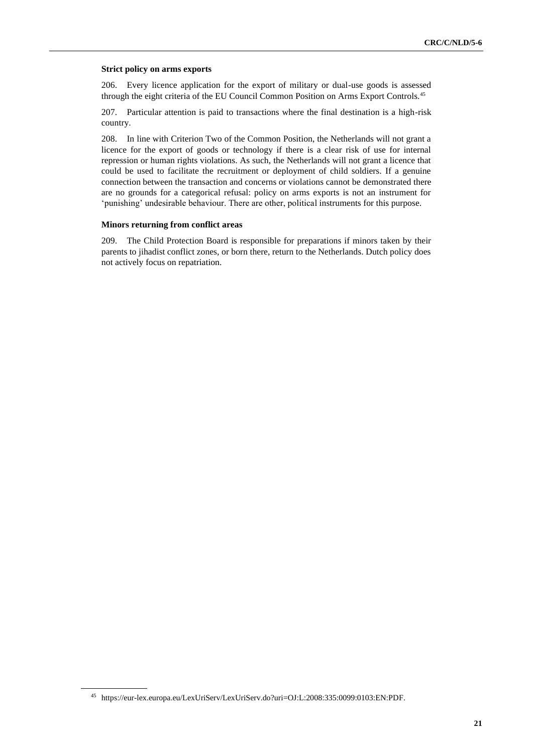#### **Strict policy on arms exports**

206. Every licence application for the export of military or dual-use goods is assessed through the eight criteria of the EU Council Common Position on Arms Export Controls.<sup>45</sup>

207. Particular attention is paid to transactions where the final destination is a high-risk country.

208. In line with Criterion Two of the Common Position, the Netherlands will not grant a licence for the export of goods or technology if there is a clear risk of use for internal repression or human rights violations. As such, the Netherlands will not grant a licence that could be used to facilitate the recruitment or deployment of child soldiers. If a genuine connection between the transaction and concerns or violations cannot be demonstrated there are no grounds for a categorical refusal: policy on arms exports is not an instrument for 'punishing' undesirable behaviour. There are other, political instruments for this purpose.

#### **Minors returning from conflict areas**

209. The Child Protection Board is responsible for preparations if minors taken by their parents to jihadist conflict zones, or born there, return to the Netherlands. Dutch policy does not actively focus on repatriation.

<sup>45</sup> https://eur-lex.europa.eu/LexUriServ/LexUriServ.do?uri=OJ:L:2008:335:0099:0103:EN:PDF.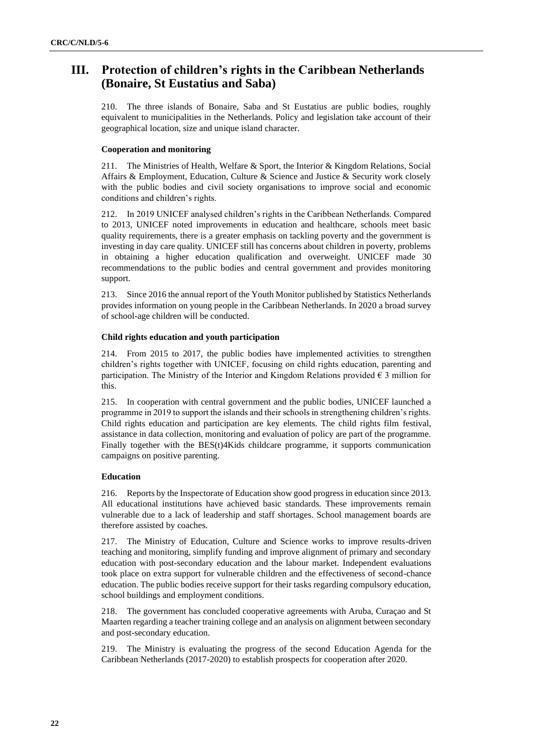# **III. Protection of children's rights in the Caribbean Netherlands (Bonaire, St Eustatius and Saba)**

210. The three islands of Bonaire, Saba and St Eustatius are public bodies, roughly equivalent to municipalities in the Netherlands. Policy and legislation take account of their geographical location, size and unique island character.

#### **Cooperation and monitoring**

211. The Ministries of Health, Welfare & Sport, the Interior & Kingdom Relations, Social Affairs & Employment, Education, Culture & Science and Justice & Security work closely with the public bodies and civil society organisations to improve social and economic conditions and children's rights.

212. In 2019 UNICEF analysed children's rights in the Caribbean Netherlands. Compared to 2013, UNICEF noted improvements in education and healthcare, schools meet basic quality requirements, there is a greater emphasis on tackling poverty and the government is investing in day care quality. UNICEF still has concerns about children in poverty, problems in obtaining a higher education qualification and overweight. UNICEF made 30 recommendations to the public bodies and central government and provides monitoring support.

213. Since 2016 the annual report of the Youth Monitor published by Statistics Netherlands provides information on young people in the Caribbean Netherlands. In 2020 a broad survey of school-age children will be conducted.

#### **Child rights education and youth participation**

214. From 2015 to 2017, the public bodies have implemented activities to strengthen children's rights together with UNICEF, focusing on child rights education, parenting and participation. The Ministry of the Interior and Kingdom Relations provided  $\epsilon$  3 million for this.

215. In cooperation with central government and the public bodies, UNICEF launched a programme in 2019 to support the islands and their schools in strengthening children's rights. Child rights education and participation are key elements. The child rights film festival, assistance in data collection, monitoring and evaluation of policy are part of the programme. Finally together with the BES(t)4Kids childcare programme, it supports communication campaigns on positive parenting.

### **Education**

216. Reports by the Inspectorate of Education show good progress in education since 2013. All educational institutions have achieved basic standards. These improvements remain vulnerable due to a lack of leadership and staff shortages. School management boards are therefore assisted by coaches.

217. The Ministry of Education, Culture and Science works to improve results-driven teaching and monitoring, simplify funding and improve alignment of primary and secondary education with post-secondary education and the labour market. Independent evaluations took place on extra support for vulnerable children and the effectiveness of second-chance education. The public bodies receive support for their tasks regarding compulsory education, school buildings and employment conditions.

218. The government has concluded cooperative agreements with Aruba, Curaçao and St Maarten regarding a teacher training college and an analysis on alignment between secondary and post-secondary education.

219. The Ministry is evaluating the progress of the second Education Agenda for the Caribbean Netherlands (2017-2020) to establish prospects for cooperation after 2020.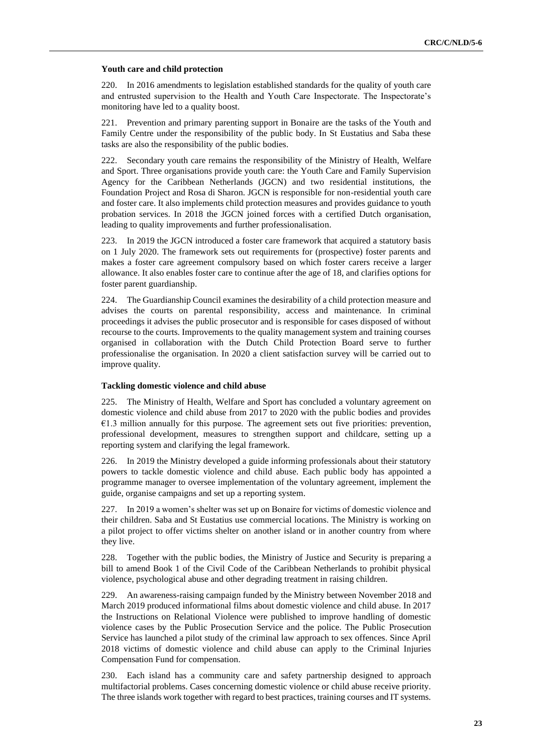#### **Youth care and child protection**

220. In 2016 amendments to legislation established standards for the quality of youth care and entrusted supervision to the Health and Youth Care Inspectorate. The Inspectorate's monitoring have led to a quality boost.

221. Prevention and primary parenting support in Bonaire are the tasks of the Youth and Family Centre under the responsibility of the public body. In St Eustatius and Saba these tasks are also the responsibility of the public bodies.

222. Secondary youth care remains the responsibility of the Ministry of Health, Welfare and Sport. Three organisations provide youth care: the Youth Care and Family Supervision Agency for the Caribbean Netherlands (JGCN) and two residential institutions, the Foundation Project and Rosa di Sharon. JGCN is responsible for non-residential youth care and foster care. It also implements child protection measures and provides guidance to youth probation services. In 2018 the JGCN joined forces with a certified Dutch organisation, leading to quality improvements and further professionalisation.

223. In 2019 the JGCN introduced a foster care framework that acquired a statutory basis on 1 July 2020. The framework sets out requirements for (prospective) foster parents and makes a foster care agreement compulsory based on which foster carers receive a larger allowance. It also enables foster care to continue after the age of 18, and clarifies options for foster parent guardianship.

224. The Guardianship Council examines the desirability of a child protection measure and advises the courts on parental responsibility, access and maintenance. In criminal proceedings it advises the public prosecutor and is responsible for cases disposed of without recourse to the courts. Improvements to the quality management system and training courses organised in collaboration with the Dutch Child Protection Board serve to further professionalise the organisation. In 2020 a client satisfaction survey will be carried out to improve quality.

#### **Tackling domestic violence and child abuse**

225. The Ministry of Health, Welfare and Sport has concluded a voluntary agreement on domestic violence and child abuse from 2017 to 2020 with the public bodies and provides  $€1.3$  million annually for this purpose. The agreement sets out five priorities: prevention, professional development, measures to strengthen support and childcare, setting up a reporting system and clarifying the legal framework.

226. In 2019 the Ministry developed a guide informing professionals about their statutory powers to tackle domestic violence and child abuse. Each public body has appointed a programme manager to oversee implementation of the voluntary agreement, implement the guide, organise campaigns and set up a reporting system.

227. In 2019 a women's shelter was set up on Bonaire for victims of domestic violence and their children. Saba and St Eustatius use commercial locations. The Ministry is working on a pilot project to offer victims shelter on another island or in another country from where they live.

228. Together with the public bodies, the Ministry of Justice and Security is preparing a bill to amend Book 1 of the Civil Code of the Caribbean Netherlands to prohibit physical violence, psychological abuse and other degrading treatment in raising children.

229. An awareness-raising campaign funded by the Ministry between November 2018 and March 2019 produced informational films about domestic violence and child abuse. In 2017 the Instructions on Relational Violence were published to improve handling of domestic violence cases by the Public Prosecution Service and the police. The Public Prosecution Service has launched a pilot study of the criminal law approach to sex offences. Since April 2018 victims of domestic violence and child abuse can apply to the Criminal Injuries Compensation Fund for compensation.

230. Each island has a community care and safety partnership designed to approach multifactorial problems. Cases concerning domestic violence or child abuse receive priority. The three islands work together with regard to best practices, training courses and IT systems.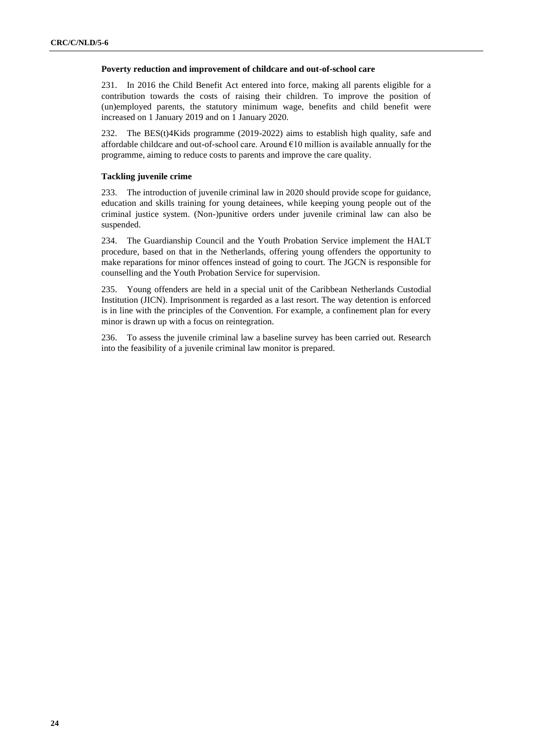#### **Poverty reduction and improvement of childcare and out-of-school care**

231. In 2016 the Child Benefit Act entered into force, making all parents eligible for a contribution towards the costs of raising their children. To improve the position of (un)employed parents, the statutory minimum wage, benefits and child benefit were increased on 1 January 2019 and on 1 January 2020.

232. The BES(t)4Kids programme (2019-2022) aims to establish high quality, safe and affordable childcare and out-of-school care. Around €10 million is available annually for the programme, aiming to reduce costs to parents and improve the care quality.

#### **Tackling juvenile crime**

233. The introduction of juvenile criminal law in 2020 should provide scope for guidance, education and skills training for young detainees, while keeping young people out of the criminal justice system. (Non-)punitive orders under juvenile criminal law can also be suspended.

234. The Guardianship Council and the Youth Probation Service implement the HALT procedure, based on that in the Netherlands, offering young offenders the opportunity to make reparations for minor offences instead of going to court. The JGCN is responsible for counselling and the Youth Probation Service for supervision.

235. Young offenders are held in a special unit of the Caribbean Netherlands Custodial Institution (JICN). Imprisonment is regarded as a last resort. The way detention is enforced is in line with the principles of the Convention. For example, a confinement plan for every minor is drawn up with a focus on reintegration.

236. To assess the juvenile criminal law a baseline survey has been carried out. Research into the feasibility of a juvenile criminal law monitor is prepared.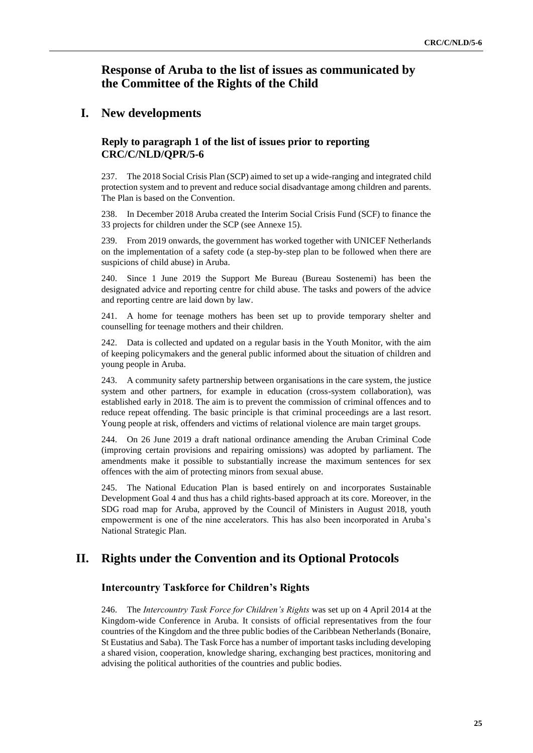# **Response of Aruba to the list of issues as communicated by the Committee of the Rights of the Child**

# **I. New developments**

# **Reply to paragraph 1 of the list of issues prior to reporting CRC/C/NLD/QPR/5-6**

237. The 2018 Social Crisis Plan (SCP) aimed to set up a wide-ranging and integrated child protection system and to prevent and reduce social disadvantage among children and parents. The Plan is based on the Convention.

238. In December 2018 Aruba created the Interim Social Crisis Fund (SCF) to finance the 33 projects for children under the SCP (see Annexe 15).

239. From 2019 onwards, the government has worked together with UNICEF Netherlands on the implementation of a safety code (a step-by-step plan to be followed when there are suspicions of child abuse) in Aruba.

240. Since 1 June 2019 the Support Me Bureau (Bureau Sostenemi) has been the designated advice and reporting centre for child abuse. The tasks and powers of the advice and reporting centre are laid down by law.

241. A home for teenage mothers has been set up to provide temporary shelter and counselling for teenage mothers and their children.

242. Data is collected and updated on a regular basis in the Youth Monitor, with the aim of keeping policymakers and the general public informed about the situation of children and young people in Aruba.

243. A community safety partnership between organisations in the care system, the justice system and other partners, for example in education (cross-system collaboration), was established early in 2018. The aim is to prevent the commission of criminal offences and to reduce repeat offending. The basic principle is that criminal proceedings are a last resort. Young people at risk, offenders and victims of relational violence are main target groups.

244. On 26 June 2019 a draft national ordinance amending the Aruban Criminal Code (improving certain provisions and repairing omissions) was adopted by parliament. The amendments make it possible to substantially increase the maximum sentences for sex offences with the aim of protecting minors from sexual abuse.

245. The National Education Plan is based entirely on and incorporates Sustainable Development Goal 4 and thus has a child rights-based approach at its core. Moreover, in the SDG road map for Aruba, approved by the Council of Ministers in August 2018, youth empowerment is one of the nine accelerators. This has also been incorporated in Aruba's National Strategic Plan.

# **II. Rights under the Convention and its Optional Protocols**

## **Intercountry Taskforce for Children's Rights**

246. The *Intercountry Task Force for Children's Rights* was set up on 4 April 2014 at the Kingdom-wide Conference in Aruba. It consists of official representatives from the four countries of the Kingdom and the three public bodies of the Caribbean Netherlands (Bonaire, St Eustatius and Saba). The Task Force has a number of important tasks including developing a shared vision, cooperation, knowledge sharing, exchanging best practices, monitoring and advising the political authorities of the countries and public bodies.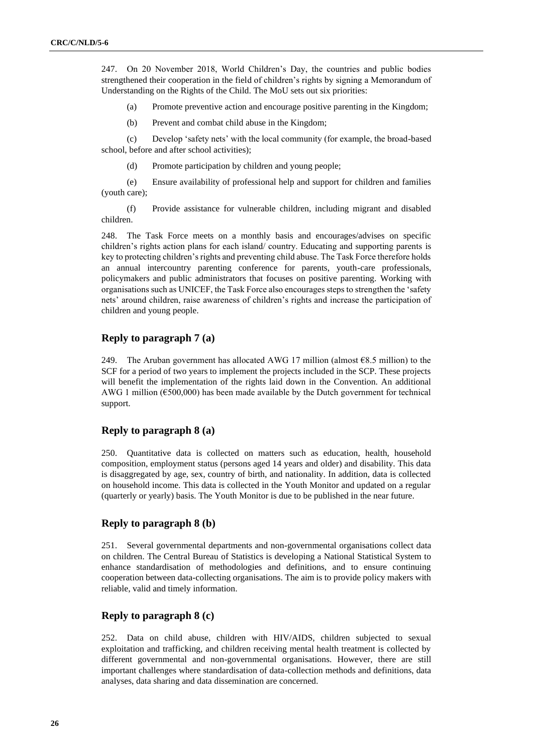247. On 20 November 2018, World Children's Day, the countries and public bodies strengthened their cooperation in the field of children's rights by signing a Memorandum of Understanding on the Rights of the Child. The MoU sets out six priorities:

(a) Promote preventive action and encourage positive parenting in the Kingdom;

(b) Prevent and combat child abuse in the Kingdom;

(c) Develop 'safety nets' with the local community (for example, the broad-based school, before and after school activities);

(d) Promote participation by children and young people;

(e) Ensure availability of professional help and support for children and families (youth care);

(f) Provide assistance for vulnerable children, including migrant and disabled children.

248. The Task Force meets on a monthly basis and encourages/advises on specific children's rights action plans for each island/ country. Educating and supporting parents is key to protecting children's rights and preventing child abuse. The Task Force therefore holds an annual intercountry parenting conference for parents, youth-care professionals, policymakers and public administrators that focuses on positive parenting. Working with organisations such as UNICEF, the Task Force also encourages steps to strengthen the 'safety nets' around children, raise awareness of children's rights and increase the participation of children and young people.

### **Reply to paragraph 7 (a)**

249. The Aruban government has allocated AWG 17 million (almost  $68.5$  million) to the SCF for a period of two years to implement the projects included in the SCP. These projects will benefit the implementation of the rights laid down in the Convention. An additional AWG 1 million ( $E$ 500,000) has been made available by the Dutch government for technical support.

#### **Reply to paragraph 8 (a)**

250. Quantitative data is collected on matters such as education, health, household composition, employment status (persons aged 14 years and older) and disability. This data is disaggregated by age, sex, country of birth, and nationality. In addition, data is collected on household income. This data is collected in the Youth Monitor and updated on a regular (quarterly or yearly) basis. The Youth Monitor is due to be published in the near future.

## **Reply to paragraph 8 (b)**

251. Several governmental departments and non-governmental organisations collect data on children. The Central Bureau of Statistics is developing a National Statistical System to enhance standardisation of methodologies and definitions, and to ensure continuing cooperation between data-collecting organisations. The aim is to provide policy makers with reliable, valid and timely information.

## **Reply to paragraph 8 (c)**

252. Data on child abuse, children with HIV/AIDS, children subjected to sexual exploitation and trafficking, and children receiving mental health treatment is collected by different governmental and non-governmental organisations. However, there are still important challenges where standardisation of data-collection methods and definitions, data analyses, data sharing and data dissemination are concerned.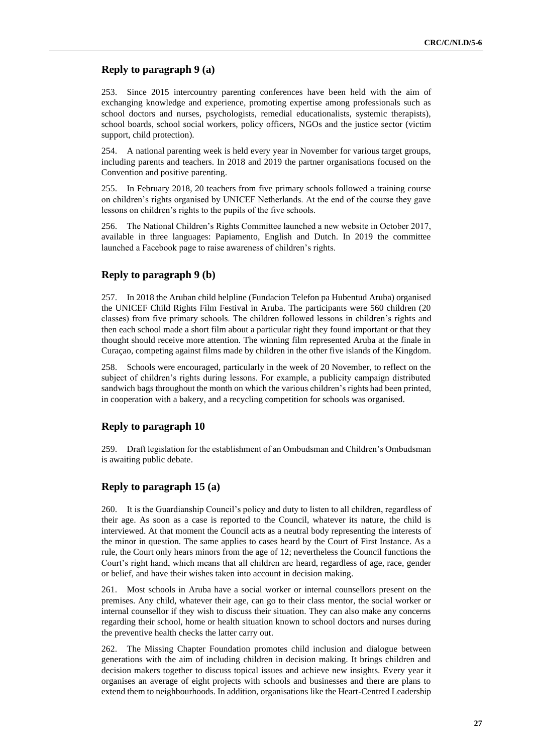## **Reply to paragraph 9 (a)**

253. Since 2015 intercountry parenting conferences have been held with the aim of exchanging knowledge and experience, promoting expertise among professionals such as school doctors and nurses, psychologists, remedial educationalists, systemic therapists), school boards, school social workers, policy officers, NGOs and the justice sector (victim support, child protection).

254. A national parenting week is held every year in November for various target groups, including parents and teachers. In 2018 and 2019 the partner organisations focused on the Convention and positive parenting.

255. In February 2018, 20 teachers from five primary schools followed a training course on children's rights organised by UNICEF Netherlands. At the end of the course they gave lessons on children's rights to the pupils of the five schools.

256. The National Children's Rights Committee launched a new website in October 2017, available in three languages: Papiamento, English and Dutch. In 2019 the committee launched a Facebook page to raise awareness of children's rights.

## **Reply to paragraph 9 (b)**

257. In 2018 the Aruban child helpline (Fundacion Telefon pa Hubentud Aruba) organised the UNICEF Child Rights Film Festival in Aruba. The participants were 560 children (20 classes) from five primary schools. The children followed lessons in children's rights and then each school made a short film about a particular right they found important or that they thought should receive more attention. The winning film represented Aruba at the finale in Curaçao, competing against films made by children in the other five islands of the Kingdom.

258. Schools were encouraged, particularly in the week of 20 November, to reflect on the subject of children's rights during lessons. For example, a publicity campaign distributed sandwich bags throughout the month on which the various children's rights had been printed, in cooperation with a bakery, and a recycling competition for schools was organised.

### **Reply to paragraph 10**

259. Draft legislation for the establishment of an Ombudsman and Children's Ombudsman is awaiting public debate.

## **Reply to paragraph 15 (a)**

260. It is the Guardianship Council's policy and duty to listen to all children, regardless of their age. As soon as a case is reported to the Council, whatever its nature, the child is interviewed. At that moment the Council acts as a neutral body representing the interests of the minor in question. The same applies to cases heard by the Court of First Instance. As a rule, the Court only hears minors from the age of 12; nevertheless the Council functions the Court's right hand, which means that all children are heard, regardless of age, race, gender or belief, and have their wishes taken into account in decision making.

261. Most schools in Aruba have a social worker or internal counsellors present on the premises. Any child, whatever their age, can go to their class mentor, the social worker or internal counsellor if they wish to discuss their situation. They can also make any concerns regarding their school, home or health situation known to school doctors and nurses during the preventive health checks the latter carry out.

262. The Missing Chapter Foundation promotes child inclusion and dialogue between generations with the aim of including children in decision making. It brings children and decision makers together to discuss topical issues and achieve new insights. Every year it organises an average of eight projects with schools and businesses and there are plans to extend them to neighbourhoods. In addition, organisations like the Heart-Centred Leadership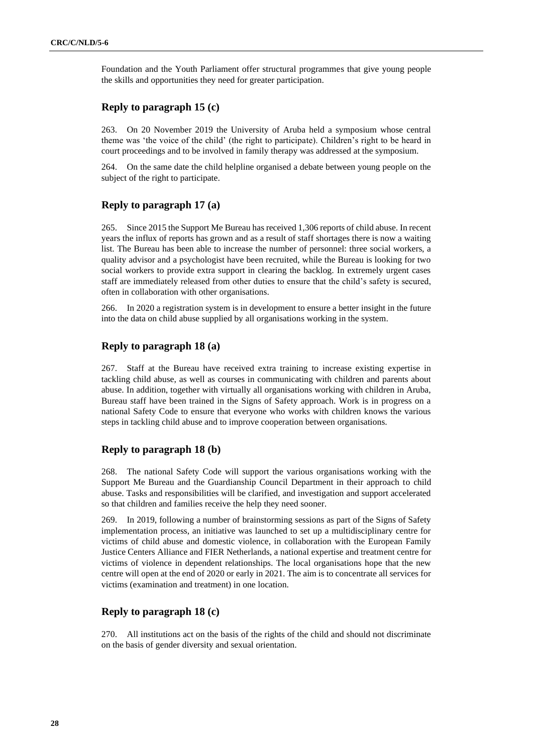Foundation and the Youth Parliament offer structural programmes that give young people the skills and opportunities they need for greater participation.

## **Reply to paragraph 15 (c)**

263. On 20 November 2019 the University of Aruba held a symposium whose central theme was 'the voice of the child' (the right to participate). Children's right to be heard in court proceedings and to be involved in family therapy was addressed at the symposium.

264. On the same date the child helpline organised a debate between young people on the subject of the right to participate.

## **Reply to paragraph 17 (a)**

265. Since 2015 the Support Me Bureau has received 1,306 reports of child abuse. In recent years the influx of reports has grown and as a result of staff shortages there is now a waiting list. The Bureau has been able to increase the number of personnel: three social workers, a quality advisor and a psychologist have been recruited, while the Bureau is looking for two social workers to provide extra support in clearing the backlog. In extremely urgent cases staff are immediately released from other duties to ensure that the child's safety is secured, often in collaboration with other organisations.

266. In 2020 a registration system is in development to ensure a better insight in the future into the data on child abuse supplied by all organisations working in the system.

## **Reply to paragraph 18 (a)**

267. Staff at the Bureau have received extra training to increase existing expertise in tackling child abuse, as well as courses in communicating with children and parents about abuse. In addition, together with virtually all organisations working with children in Aruba, Bureau staff have been trained in the Signs of Safety approach. Work is in progress on a national Safety Code to ensure that everyone who works with children knows the various steps in tackling child abuse and to improve cooperation between organisations.

### **Reply to paragraph 18 (b)**

268. The national Safety Code will support the various organisations working with the Support Me Bureau and the Guardianship Council Department in their approach to child abuse. Tasks and responsibilities will be clarified, and investigation and support accelerated so that children and families receive the help they need sooner.

269. In 2019, following a number of brainstorming sessions as part of the Signs of Safety implementation process, an initiative was launched to set up a multidisciplinary centre for victims of child abuse and domestic violence, in collaboration with the European Family Justice Centers Alliance and FIER Netherlands, a national expertise and treatment centre for victims of violence in dependent relationships. The local organisations hope that the new centre will open at the end of 2020 or early in 2021. The aim is to concentrate all services for victims (examination and treatment) in one location.

## **Reply to paragraph 18 (c)**

270. All institutions act on the basis of the rights of the child and should not discriminate on the basis of gender diversity and sexual orientation.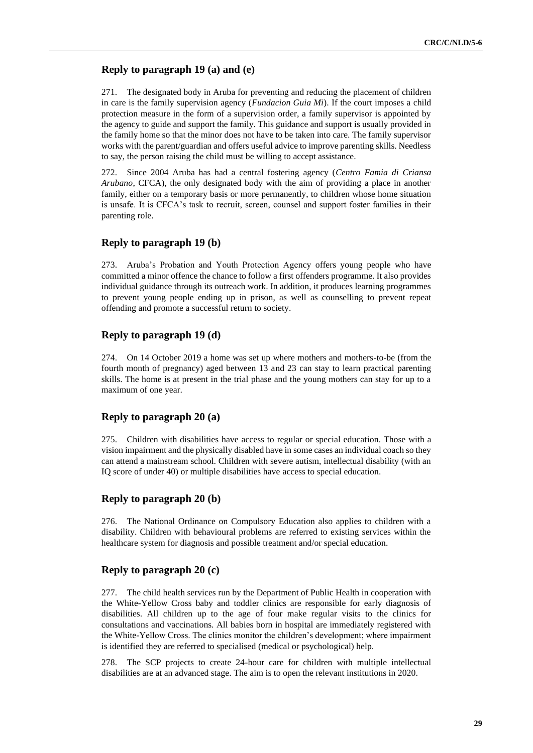## **Reply to paragraph 19 (a) and (e)**

271. The designated body in Aruba for preventing and reducing the placement of children in care is the family supervision agency (*Fundacion Guia Mi*). If the court imposes a child protection measure in the form of a supervision order, a family supervisor is appointed by the agency to guide and support the family. This guidance and support is usually provided in the family home so that the minor does not have to be taken into care. The family supervisor works with the parent/guardian and offers useful advice to improve parenting skills. Needless to say, the person raising the child must be willing to accept assistance.

272. Since 2004 Aruba has had a central fostering agency (*Centro Famia di Criansa Arubano*, CFCA), the only designated body with the aim of providing a place in another family, either on a temporary basis or more permanently, to children whose home situation is unsafe. It is CFCA's task to recruit, screen, counsel and support foster families in their parenting role.

### **Reply to paragraph 19 (b)**

273. Aruba's Probation and Youth Protection Agency offers young people who have committed a minor offence the chance to follow a first offenders programme. It also provides individual guidance through its outreach work. In addition, it produces learning programmes to prevent young people ending up in prison, as well as counselling to prevent repeat offending and promote a successful return to society.

#### **Reply to paragraph 19 (d)**

274. On 14 October 2019 a home was set up where mothers and mothers-to-be (from the fourth month of pregnancy) aged between 13 and 23 can stay to learn practical parenting skills. The home is at present in the trial phase and the young mothers can stay for up to a maximum of one year.

### **Reply to paragraph 20 (a)**

275. Children with disabilities have access to regular or special education. Those with a vision impairment and the physically disabled have in some cases an individual coach so they can attend a mainstream school. Children with severe autism, intellectual disability (with an IQ score of under 40) or multiple disabilities have access to special education.

### **Reply to paragraph 20 (b)**

276. The National Ordinance on Compulsory Education also applies to children with a disability. Children with behavioural problems are referred to existing services within the healthcare system for diagnosis and possible treatment and/or special education.

#### **Reply to paragraph 20 (c)**

277. The child health services run by the Department of Public Health in cooperation with the White-Yellow Cross baby and toddler clinics are responsible for early diagnosis of disabilities. All children up to the age of four make regular visits to the clinics for consultations and vaccinations. All babies born in hospital are immediately registered with the White-Yellow Cross. The clinics monitor the children's development; where impairment is identified they are referred to specialised (medical or psychological) help.

278. The SCP projects to create 24-hour care for children with multiple intellectual disabilities are at an advanced stage. The aim is to open the relevant institutions in 2020.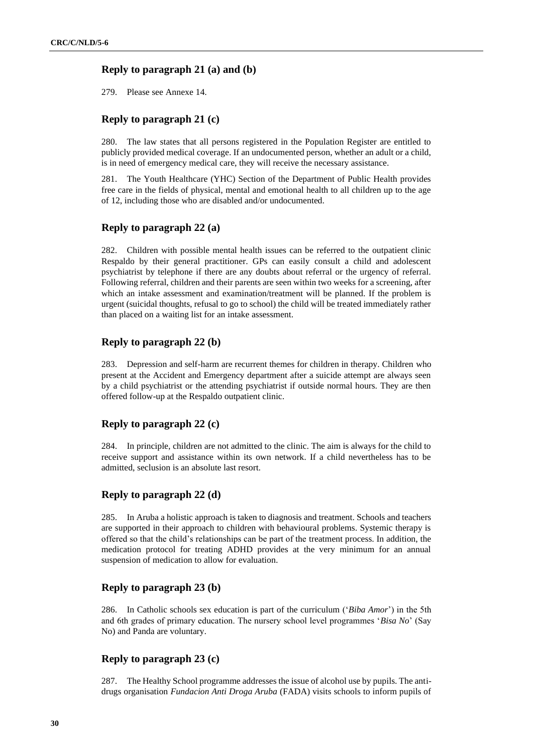## **Reply to paragraph 21 (a) and (b)**

279. Please see Annexe 14.

## **Reply to paragraph 21 (c)**

280. The law states that all persons registered in the Population Register are entitled to publicly provided medical coverage. If an undocumented person, whether an adult or a child, is in need of emergency medical care, they will receive the necessary assistance.

281. The Youth Healthcare (YHC) Section of the Department of Public Health provides free care in the fields of physical, mental and emotional health to all children up to the age of 12, including those who are disabled and/or undocumented.

## **Reply to paragraph 22 (a)**

282. Children with possible mental health issues can be referred to the outpatient clinic Respaldo by their general practitioner. GPs can easily consult a child and adolescent psychiatrist by telephone if there are any doubts about referral or the urgency of referral. Following referral, children and their parents are seen within two weeks for a screening, after which an intake assessment and examination/treatment will be planned. If the problem is urgent (suicidal thoughts, refusal to go to school) the child will be treated immediately rather than placed on a waiting list for an intake assessment.

## **Reply to paragraph 22 (b)**

283. Depression and self-harm are recurrent themes for children in therapy. Children who present at the Accident and Emergency department after a suicide attempt are always seen by a child psychiatrist or the attending psychiatrist if outside normal hours. They are then offered follow-up at the Respaldo outpatient clinic.

## **Reply to paragraph 22 (c)**

284. In principle, children are not admitted to the clinic. The aim is always for the child to receive support and assistance within its own network. If a child nevertheless has to be admitted, seclusion is an absolute last resort.

### **Reply to paragraph 22 (d)**

285. In Aruba a holistic approach is taken to diagnosis and treatment. Schools and teachers are supported in their approach to children with behavioural problems. Systemic therapy is offered so that the child's relationships can be part of the treatment process. In addition, the medication protocol for treating ADHD provides at the very minimum for an annual suspension of medication to allow for evaluation.

## **Reply to paragraph 23 (b)**

286. In Catholic schools sex education is part of the curriculum ('*Biba Amor*') in the 5th and 6th grades of primary education. The nursery school level programmes '*Bisa No*' (Say No) and Panda are voluntary.

# **Reply to paragraph 23 (c)**

287. The Healthy School programme addresses the issue of alcohol use by pupils. The antidrugs organisation *Fundacion Anti Droga Aruba* (FADA) visits schools to inform pupils of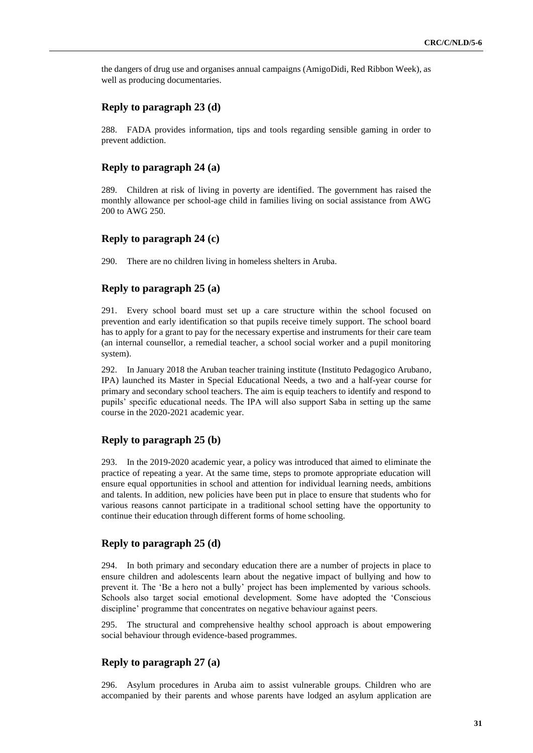the dangers of drug use and organises annual campaigns (AmigoDidi, Red Ribbon Week), as well as producing documentaries.

### **Reply to paragraph 23 (d)**

288. FADA provides information, tips and tools regarding sensible gaming in order to prevent addiction.

#### **Reply to paragraph 24 (a)**

289. Children at risk of living in poverty are identified. The government has raised the monthly allowance per school-age child in families living on social assistance from AWG 200 to AWG 250.

### **Reply to paragraph 24 (c)**

290. There are no children living in homeless shelters in Aruba.

#### **Reply to paragraph 25 (a)**

291. Every school board must set up a care structure within the school focused on prevention and early identification so that pupils receive timely support. The school board has to apply for a grant to pay for the necessary expertise and instruments for their care team (an internal counsellor, a remedial teacher, a school social worker and a pupil monitoring system).

292. In January 2018 the Aruban teacher training institute (Instituto Pedagogico Arubano, IPA) launched its Master in Special Educational Needs, a two and a half-year course for primary and secondary school teachers. The aim is equip teachers to identify and respond to pupils' specific educational needs. The IPA will also support Saba in setting up the same course in the 2020-2021 academic year.

#### **Reply to paragraph 25 (b)**

293. In the 2019-2020 academic year, a policy was introduced that aimed to eliminate the practice of repeating a year. At the same time, steps to promote appropriate education will ensure equal opportunities in school and attention for individual learning needs, ambitions and talents. In addition, new policies have been put in place to ensure that students who for various reasons cannot participate in a traditional school setting have the opportunity to continue their education through different forms of home schooling.

# **Reply to paragraph 25 (d)**

294. In both primary and secondary education there are a number of projects in place to ensure children and adolescents learn about the negative impact of bullying and how to prevent it. The 'Be a hero not a bully' project has been implemented by various schools. Schools also target social emotional development. Some have adopted the 'Conscious discipline' programme that concentrates on negative behaviour against peers.

295. The structural and comprehensive healthy school approach is about empowering social behaviour through evidence-based programmes.

#### **Reply to paragraph 27 (a)**

296. Asylum procedures in Aruba aim to assist vulnerable groups. Children who are accompanied by their parents and whose parents have lodged an asylum application are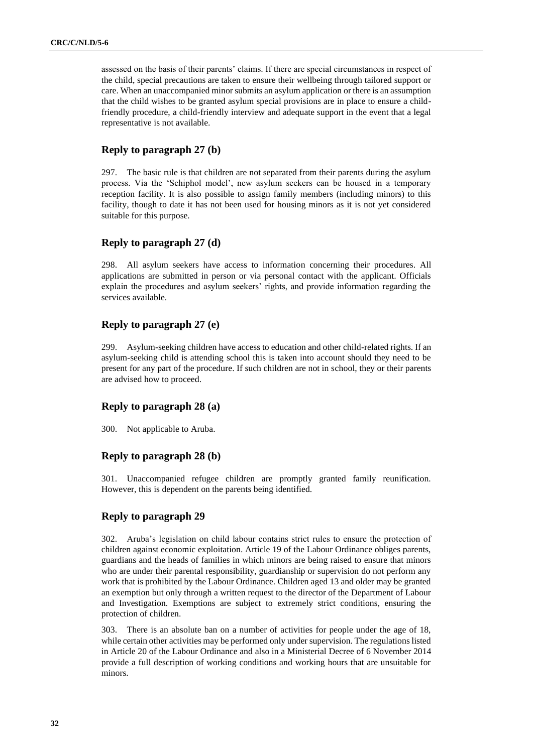assessed on the basis of their parents' claims. If there are special circumstances in respect of the child, special precautions are taken to ensure their wellbeing through tailored support or care. When an unaccompanied minor submits an asylum application or there is an assumption that the child wishes to be granted asylum special provisions are in place to ensure a childfriendly procedure, a child-friendly interview and adequate support in the event that a legal representative is not available.

## **Reply to paragraph 27 (b)**

297. The basic rule is that children are not separated from their parents during the asylum process. Via the 'Schiphol model', new asylum seekers can be housed in a temporary reception facility. It is also possible to assign family members (including minors) to this facility, though to date it has not been used for housing minors as it is not yet considered suitable for this purpose.

## **Reply to paragraph 27 (d)**

298. All asylum seekers have access to information concerning their procedures. All applications are submitted in person or via personal contact with the applicant. Officials explain the procedures and asylum seekers' rights, and provide information regarding the services available.

## **Reply to paragraph 27 (e)**

299. Asylum-seeking children have access to education and other child-related rights. If an asylum-seeking child is attending school this is taken into account should they need to be present for any part of the procedure. If such children are not in school, they or their parents are advised how to proceed.

## **Reply to paragraph 28 (a)**

300. Not applicable to Aruba.

## **Reply to paragraph 28 (b)**

301. Unaccompanied refugee children are promptly granted family reunification. However, this is dependent on the parents being identified.

### **Reply to paragraph 29**

302. Aruba's legislation on child labour contains strict rules to ensure the protection of children against economic exploitation. Article 19 of the Labour Ordinance obliges parents, guardians and the heads of families in which minors are being raised to ensure that minors who are under their parental responsibility, guardianship or supervision do not perform any work that is prohibited by the Labour Ordinance. Children aged 13 and older may be granted an exemption but only through a written request to the director of the Department of Labour and Investigation. Exemptions are subject to extremely strict conditions, ensuring the protection of children.

303. There is an absolute ban on a number of activities for people under the age of 18, while certain other activities may be performed only under supervision. The regulations listed in Article 20 of the Labour Ordinance and also in a Ministerial Decree of 6 November 2014 provide a full description of working conditions and working hours that are unsuitable for minors.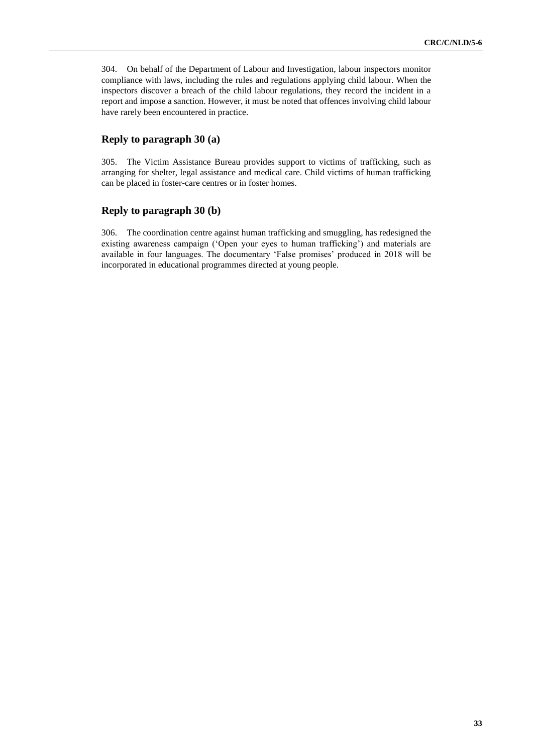304. On behalf of the Department of Labour and Investigation, labour inspectors monitor compliance with laws, including the rules and regulations applying child labour. When the inspectors discover a breach of the child labour regulations, they record the incident in a report and impose a sanction. However, it must be noted that offences involving child labour have rarely been encountered in practice.

## **Reply to paragraph 30 (a)**

305. The Victim Assistance Bureau provides support to victims of trafficking, such as arranging for shelter, legal assistance and medical care. Child victims of human trafficking can be placed in foster-care centres or in foster homes.

## **Reply to paragraph 30 (b)**

306. The coordination centre against human trafficking and smuggling, has redesigned the existing awareness campaign ('Open your eyes to human trafficking') and materials are available in four languages. The documentary 'False promises' produced in 2018 will be incorporated in educational programmes directed at young people.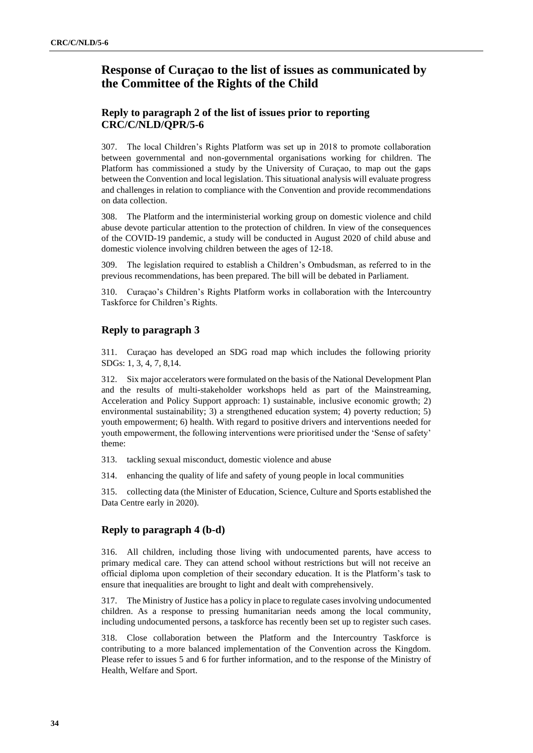# **Response of Curaçao to the list of issues as communicated by the Committee of the Rights of the Child**

# **Reply to paragraph 2 of the list of issues prior to reporting CRC/C/NLD/QPR/5-6**

307. The local Children's Rights Platform was set up in 2018 to promote collaboration between governmental and non-governmental organisations working for children. The Platform has commissioned a study by the University of Curaçao, to map out the gaps between the Convention and local legislation. This situational analysis will evaluate progress and challenges in relation to compliance with the Convention and provide recommendations on data collection.

308. The Platform and the interministerial working group on domestic violence and child abuse devote particular attention to the protection of children. In view of the consequences of the COVID-19 pandemic, a study will be conducted in August 2020 of child abuse and domestic violence involving children between the ages of 12-18.

309. The legislation required to establish a Children's Ombudsman, as referred to in the previous recommendations, has been prepared. The bill will be debated in Parliament.

310. Curaçao's Children's Rights Platform works in collaboration with the Intercountry Taskforce for Children's Rights.

# **Reply to paragraph 3**

311. Curaçao has developed an SDG road map which includes the following priority SDGs: 1, 3, 4, 7, 8,14.

312. Six major accelerators were formulated on the basis of the National Development Plan and the results of multi-stakeholder workshops held as part of the Mainstreaming, Acceleration and Policy Support approach: 1) sustainable, inclusive economic growth; 2) environmental sustainability; 3) a strengthened education system; 4) poverty reduction; 5) youth empowerment; 6) health. With regard to positive drivers and interventions needed for youth empowerment, the following interventions were prioritised under the 'Sense of safety' theme:

313. tackling sexual misconduct, domestic violence and abuse

314. enhancing the quality of life and safety of young people in local communities

315. collecting data (the Minister of Education, Science, Culture and Sports established the Data Centre early in 2020).

# **Reply to paragraph 4 (b-d)**

316. All children, including those living with undocumented parents, have access to primary medical care. They can attend school without restrictions but will not receive an official diploma upon completion of their secondary education. It is the Platform's task to ensure that inequalities are brought to light and dealt with comprehensively.

317. The Ministry of Justice has a policy in place to regulate cases involving undocumented children. As a response to pressing humanitarian needs among the local community, including undocumented persons, a taskforce has recently been set up to register such cases.

318. Close collaboration between the Platform and the Intercountry Taskforce is contributing to a more balanced implementation of the Convention across the Kingdom. Please refer to issues 5 and 6 for further information, and to the response of the Ministry of Health, Welfare and Sport.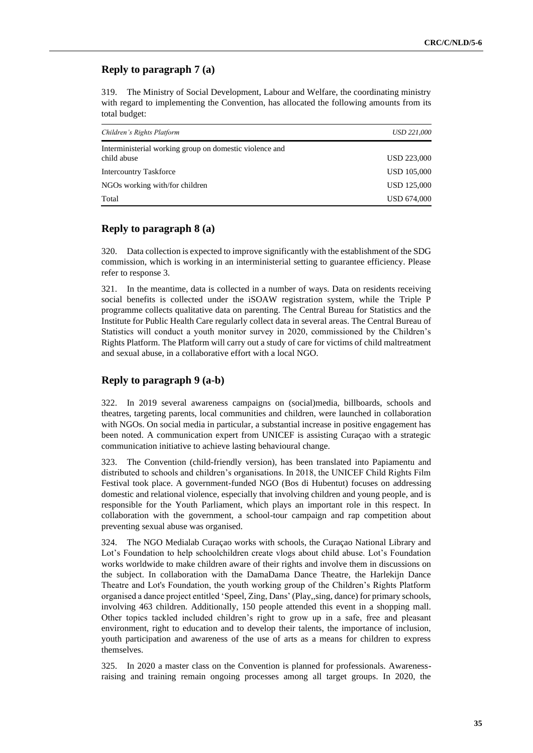## **Reply to paragraph 7 (a)**

319. The Ministry of Social Development, Labour and Welfare, the coordinating ministry with regard to implementing the Convention, has allocated the following amounts from its total budget:

| Children's Rights Platform                              | <b>USD 221.000</b> |
|---------------------------------------------------------|--------------------|
| Interministerial working group on domestic violence and |                    |
| child abuse                                             | <b>USD 223,000</b> |
| <b>Intercountry Taskforce</b>                           | <b>USD 105,000</b> |
| NGOs working with/for children                          | <b>USD 125,000</b> |
| Total                                                   | <b>USD 674,000</b> |

## **Reply to paragraph 8 (a)**

320. Data collection is expected to improve significantly with the establishment of the SDG commission, which is working in an interministerial setting to guarantee efficiency. Please refer to response 3.

321. In the meantime, data is collected in a number of ways. Data on residents receiving social benefits is collected under the iSOAW registration system, while the Triple P programme collects qualitative data on parenting. The Central Bureau for Statistics and the Institute for Public Health Care regularly collect data in several areas. The Central Bureau of Statistics will conduct a youth monitor survey in 2020, commissioned by the Children's Rights Platform. The Platform will carry out a study of care for victims of child maltreatment and sexual abuse, in a collaborative effort with a local NGO.

## **Reply to paragraph 9 (a-b)**

322. In 2019 several awareness campaigns on (social)media, billboards, schools and theatres, targeting parents, local communities and children, were launched in collaboration with NGOs. On social media in particular, a substantial increase in positive engagement has been noted. A communication expert from UNICEF is assisting Curaçao with a strategic communication initiative to achieve lasting behavioural change.

323. The Convention (child-friendly version), has been translated into Papiamentu and distributed to schools and children's organisations. In 2018, the UNICEF Child Rights Film Festival took place. A government-funded NGO (Bos di Hubentut) focuses on addressing domestic and relational violence, especially that involving children and young people, and is responsible for the Youth Parliament, which plays an important role in this respect. In collaboration with the government, a school-tour campaign and rap competition about preventing sexual abuse was organised.

324. The NGO Medialab Curaçao works with schools, the Curaçao National Library and Lot's Foundation to help schoolchildren create vlogs about child abuse. Lot's Foundation works worldwide to make children aware of their rights and involve them in discussions on the subject. In collaboration with the DamaDama Dance Theatre, the Harlekijn Dance Theatre and Lot's Foundation, the youth working group of the Children's Rights Platform organised a dance project entitled 'Speel, Zing, Dans' (Play,,sing, dance) for primary schools, involving 463 children. Additionally, 150 people attended this event in a shopping mall. Other topics tackled included children's right to grow up in a safe, free and pleasant environment, right to education and to develop their talents, the importance of inclusion, youth participation and awareness of the use of arts as a means for children to express themselves.

325. In 2020 a master class on the Convention is planned for professionals. Awarenessraising and training remain ongoing processes among all target groups. In 2020, the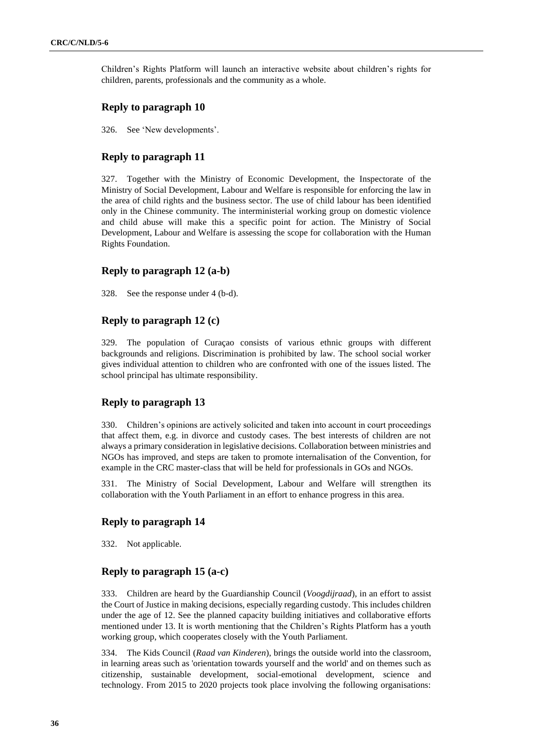Children's Rights Platform will launch an interactive website about children's rights for children, parents, professionals and the community as a whole.

## **Reply to paragraph 10**

326. See 'New developments'.

## **Reply to paragraph 11**

327. Together with the Ministry of Economic Development, the Inspectorate of the Ministry of Social Development, Labour and Welfare is responsible for enforcing the law in the area of child rights and the business sector. The use of child labour has been identified only in the Chinese community. The interministerial working group on domestic violence and child abuse will make this a specific point for action. The Ministry of Social Development, Labour and Welfare is assessing the scope for collaboration with the Human Rights Foundation.

### **Reply to paragraph 12 (a-b)**

328. See the response under 4 (b-d).

#### **Reply to paragraph 12 (c)**

329. The population of Curaçao consists of various ethnic groups with different backgrounds and religions. Discrimination is prohibited by law. The school social worker gives individual attention to children who are confronted with one of the issues listed. The school principal has ultimate responsibility.

## **Reply to paragraph 13**

330. Children's opinions are actively solicited and taken into account in court proceedings that affect them, e.g. in divorce and custody cases. The best interests of children are not always a primary consideration in legislative decisions. Collaboration between ministries and NGOs has improved, and steps are taken to promote internalisation of the Convention, for example in the CRC master-class that will be held for professionals in GOs and NGOs.

331. The Ministry of Social Development, Labour and Welfare will strengthen its collaboration with the Youth Parliament in an effort to enhance progress in this area.

## **Reply to paragraph 14**

332. Not applicable.

## **Reply to paragraph 15 (a-c)**

333. Children are heard by the Guardianship Council (*Voogdijraad*), in an effort to assist the Court of Justice in making decisions, especially regarding custody. This includes children under the age of 12. See the planned capacity building initiatives and collaborative efforts mentioned under 13. It is worth mentioning that the Children's Rights Platform has a youth working group, which cooperates closely with the Youth Parliament.

334. The Kids Council (*Raad van Kinderen*), brings the outside world into the classroom, in learning areas such as 'orientation towards yourself and the world' and on themes such as citizenship, sustainable development, social-emotional development, science and technology. From 2015 to 2020 projects took place involving the following organisations: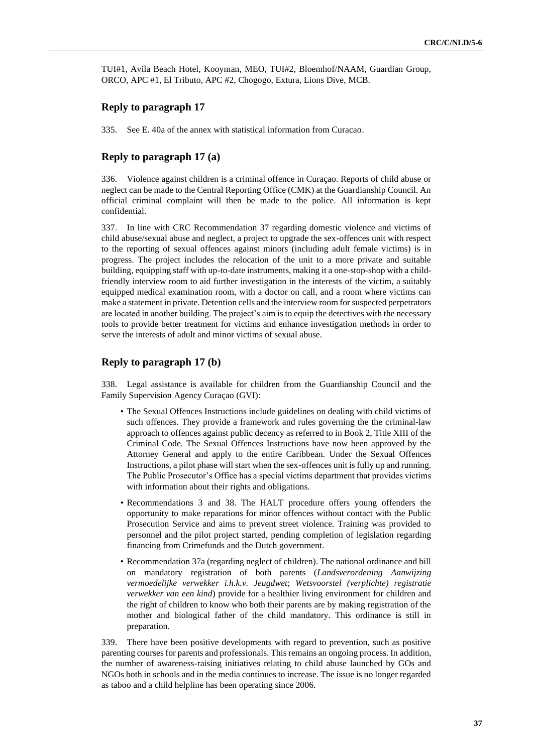TUI#1, Avila Beach Hotel, Kooyman, MEO, TUI#2, Bloemhof/NAAM, Guardian Group, ORCO, APC #1, El Tributo, APC #2, Chogogo, Extura, Lions Dive, MCB.

## **Reply to paragraph 17**

335. See E. 40a of the annex with statistical information from Curacao.

## **Reply to paragraph 17 (a)**

336. Violence against children is a criminal offence in Curaçao. Reports of child abuse or neglect can be made to the Central Reporting Office (CMK) at the Guardianship Council. An official criminal complaint will then be made to the police. All information is kept confidential.

337. In line with CRC Recommendation 37 regarding domestic violence and victims of child abuse/sexual abuse and neglect, a project to upgrade the sex-offences unit with respect to the reporting of sexual offences against minors (including adult female victims) is in progress. The project includes the relocation of the unit to a more private and suitable building, equipping staff with up-to-date instruments, making it a one-stop-shop with a childfriendly interview room to aid further investigation in the interests of the victim, a suitably equipped medical examination room, with a doctor on call, and a room where victims can make a statement in private. Detention cells and the interview room for suspected perpetrators are located in another building. The project's aim is to equip the detectives with the necessary tools to provide better treatment for victims and enhance investigation methods in order to serve the interests of adult and minor victims of sexual abuse.

## **Reply to paragraph 17 (b)**

338. Legal assistance is available for children from the Guardianship Council and the Family Supervision Agency Curaçao (GVI):

- The Sexual Offences Instructions include guidelines on dealing with child victims of such offences. They provide a framework and rules governing the the criminal-law approach to offences against public decency as referred to in Book 2, Title XIII of the Criminal Code. The Sexual Offences Instructions have now been approved by the Attorney General and apply to the entire Caribbean. Under the Sexual Offences Instructions, a pilot phase will start when the sex-offences unit is fully up and running. The Public Prosecutor's Office has a special victims department that provides victims with information about their rights and obligations.
- Recommendations 3 and 38. The HALT procedure offers young offenders the opportunity to make reparations for minor offences without contact with the Public Prosecution Service and aims to prevent street violence. Training was provided to personnel and the pilot project started, pending completion of legislation regarding financing from Crimefunds and the Dutch government.
- Recommendation 37a (regarding neglect of children). The national ordinance and bill on mandatory registration of both parents (*Landsverordening Aanwijzing vermoedelijke verwekker i.h.k.v. Jeugdwet*; *Wetsvoorstel (verplichte) registratie verwekker van een kind*) provide for a healthier living environment for children and the right of children to know who both their parents are by making registration of the mother and biological father of the child mandatory. This ordinance is still in preparation.

339. There have been positive developments with regard to prevention, such as positive parenting courses for parents and professionals. This remains an ongoing process. In addition, the number of awareness-raising initiatives relating to child abuse launched by GOs and NGOs both in schools and in the media continues to increase. The issue is no longer regarded as taboo and a child helpline has been operating since 2006.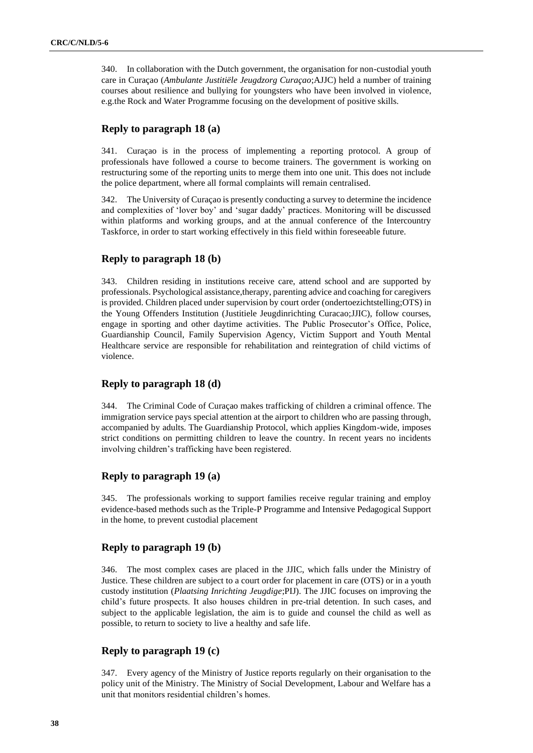340. In collaboration with the Dutch government, the organisation for non-custodial youth care in Curaçao (*Ambulante Justitiële Jeugdzorg Curaçao*;AJJC) held a number of training courses about resilience and bullying for youngsters who have been involved in violence, e.g.the Rock and Water Programme focusing on the development of positive skills.

# **Reply to paragraph 18 (a)**

341. Curaçao is in the process of implementing a reporting protocol. A group of professionals have followed a course to become trainers. The government is working on restructuring some of the reporting units to merge them into one unit. This does not include the police department, where all formal complaints will remain centralised.

342. The University of Curaçao is presently conducting a survey to determine the incidence and complexities of 'lover boy' and 'sugar daddy' practices. Monitoring will be discussed within platforms and working groups, and at the annual conference of the Intercountry Taskforce, in order to start working effectively in this field within foreseeable future.

## **Reply to paragraph 18 (b)**

343. Children residing in institutions receive care, attend school and are supported by professionals. Psychological assistance,therapy, parenting advice and coaching for caregivers is provided. Children placed under supervision by court order (ondertoezichtstelling;OTS) in the Young Offenders Institution (Justitiele Jeugdinrichting Curacao;JJIC), follow courses, engage in sporting and other daytime activities. The Public Prosecutor's Office, Police, Guardianship Council, Family Supervision Agency, Victim Support and Youth Mental Healthcare service are responsible for rehabilitation and reintegration of child victims of violence.

## **Reply to paragraph 18 (d)**

344. The Criminal Code of Curaçao makes trafficking of children a criminal offence. The immigration service pays special attention at the airport to children who are passing through, accompanied by adults. The Guardianship Protocol, which applies Kingdom-wide, imposes strict conditions on permitting children to leave the country. In recent years no incidents involving children's trafficking have been registered.

### **Reply to paragraph 19 (a)**

345. The professionals working to support families receive regular training and employ evidence-based methods such as the Triple-P Programme and Intensive Pedagogical Support in the home, to prevent custodial placement

### **Reply to paragraph 19 (b)**

346. The most complex cases are placed in the JJIC, which falls under the Ministry of Justice. These children are subject to a court order for placement in care (OTS) or in a youth custody institution (*Plaatsing Inrichting Jeugdige*;PIJ). The JJIC focuses on improving the child's future prospects. It also houses children in pre-trial detention. In such cases, and subject to the applicable legislation, the aim is to guide and counsel the child as well as possible, to return to society to live a healthy and safe life.

## **Reply to paragraph 19 (c)**

347. Every agency of the Ministry of Justice reports regularly on their organisation to the policy unit of the Ministry. The Ministry of Social Development, Labour and Welfare has a unit that monitors residential children's homes.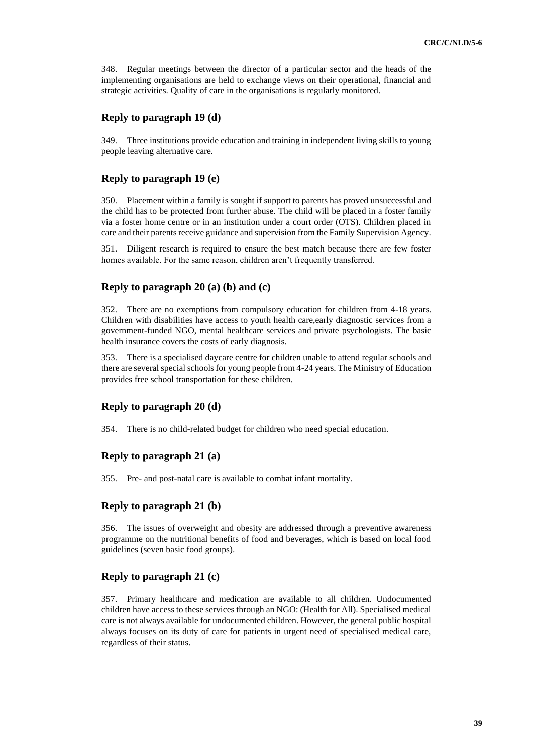348. Regular meetings between the director of a particular sector and the heads of the implementing organisations are held to exchange views on their operational, financial and strategic activities. Quality of care in the organisations is regularly monitored.

### **Reply to paragraph 19 (d)**

349. Three institutions provide education and training in independent living skills to young people leaving alternative care.

#### **Reply to paragraph 19 (e)**

350. Placement within a family is sought if support to parents has proved unsuccessful and the child has to be protected from further abuse. The child will be placed in a foster family via a foster home centre or in an institution under a court order (OTS). Children placed in care and their parents receive guidance and supervision from the Family Supervision Agency.

351. Diligent research is required to ensure the best match because there are few foster homes available. For the same reason, children aren't frequently transferred.

## **Reply to paragraph 20 (a) (b) and (c)**

352. There are no exemptions from compulsory education for children from 4-18 years. Children with disabilities have access to youth health care,early diagnostic services from a government-funded NGO, mental healthcare services and private psychologists. The basic health insurance covers the costs of early diagnosis.

353. There is a specialised daycare centre for children unable to attend regular schools and there are several special schools for young people from 4-24 years. The Ministry of Education provides free school transportation for these children.

#### **Reply to paragraph 20 (d)**

354. There is no child-related budget for children who need special education.

#### **Reply to paragraph 21 (a)**

355. Pre- and post-natal care is available to combat infant mortality.

## **Reply to paragraph 21 (b)**

356. The issues of overweight and obesity are addressed through a preventive awareness programme on the nutritional benefits of food and beverages, which is based on local food guidelines (seven basic food groups).

### **Reply to paragraph 21 (c)**

357. Primary healthcare and medication are available to all children. Undocumented children have access to these services through an NGO: (Health for All). Specialised medical care is not always available for undocumented children. However, the general public hospital always focuses on its duty of care for patients in urgent need of specialised medical care, regardless of their status.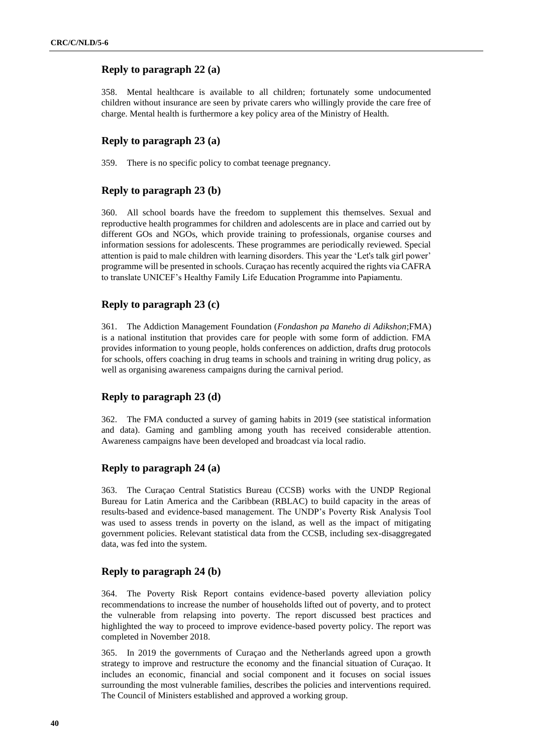## **Reply to paragraph 22 (a)**

358. Mental healthcare is available to all children; fortunately some undocumented children without insurance are seen by private carers who willingly provide the care free of charge. Mental health is furthermore a key policy area of the Ministry of Health.

## **Reply to paragraph 23 (a)**

359. There is no specific policy to combat teenage pregnancy.

## **Reply to paragraph 23 (b)**

360. All school boards have the freedom to supplement this themselves. Sexual and reproductive health programmes for children and adolescents are in place and carried out by different GOs and NGOs, which provide training to professionals, organise courses and information sessions for adolescents. These programmes are periodically reviewed. Special attention is paid to male children with learning disorders. This year the 'Let's talk girl power' programme will be presented in schools. Curaçao has recently acquired the rights via CAFRA to translate UNICEF's Healthy Family Life Education Programme into Papiamentu.

## **Reply to paragraph 23 (c)**

361. The Addiction Management Foundation (*Fondashon pa Maneho di Adikshon*;FMA) is a national institution that provides care for people with some form of addiction. FMA provides information to young people, holds conferences on addiction, drafts drug protocols for schools, offers coaching in drug teams in schools and training in writing drug policy, as well as organising awareness campaigns during the carnival period.

## **Reply to paragraph 23 (d)**

362. The FMA conducted a survey of gaming habits in 2019 (see statistical information and data). Gaming and gambling among youth has received considerable attention. Awareness campaigns have been developed and broadcast via local radio.

# **Reply to paragraph 24 (a)**

363. The Curaçao Central Statistics Bureau (CCSB) works with the UNDP Regional Bureau for Latin America and the Caribbean (RBLAC) to build capacity in the areas of results-based and evidence-based management. The UNDP's Poverty Risk Analysis Tool was used to assess trends in poverty on the island, as well as the impact of mitigating government policies. Relevant statistical data from the CCSB, including sex-disaggregated data, was fed into the system.

### **Reply to paragraph 24 (b)**

364. The Poverty Risk Report contains evidence-based poverty alleviation policy recommendations to increase the number of households lifted out of poverty, and to protect the vulnerable from relapsing into poverty. The report discussed best practices and highlighted the way to proceed to improve evidence-based poverty policy. The report was completed in November 2018.

365. In 2019 the governments of Curaçao and the Netherlands agreed upon a growth strategy to improve and restructure the economy and the financial situation of Curaçao. It includes an economic, financial and social component and it focuses on social issues surrounding the most vulnerable families, describes the policies and interventions required. The Council of Ministers established and approved a working group.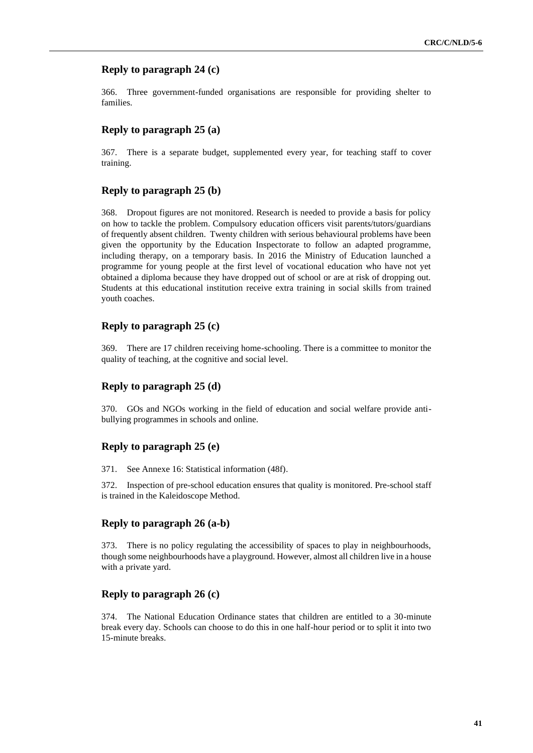## **Reply to paragraph 24 (c)**

366. Three government-funded organisations are responsible for providing shelter to families.

## **Reply to paragraph 25 (a)**

367. There is a separate budget, supplemented every year, for teaching staff to cover training.

#### **Reply to paragraph 25 (b)**

368. Dropout figures are not monitored. Research is needed to provide a basis for policy on how to tackle the problem. Compulsory education officers visit parents/tutors/guardians of frequently absent children. Twenty children with serious behavioural problems have been given the opportunity by the Education Inspectorate to follow an adapted programme, including therapy, on a temporary basis. In 2016 the Ministry of Education launched a programme for young people at the first level of vocational education who have not yet obtained a diploma because they have dropped out of school or are at risk of dropping out. Students at this educational institution receive extra training in social skills from trained youth coaches.

## **Reply to paragraph 25 (c)**

369. There are 17 children receiving home-schooling. There is a committee to monitor the quality of teaching, at the cognitive and social level.

#### **Reply to paragraph 25 (d)**

370. GOs and NGOs working in the field of education and social welfare provide antibullying programmes in schools and online.

#### **Reply to paragraph 25 (e)**

371. See Annexe 16: Statistical information (48f).

372. Inspection of pre-school education ensures that quality is monitored. Pre-school staff is trained in the Kaleidoscope Method.

## **Reply to paragraph 26 (a-b)**

373. There is no policy regulating the accessibility of spaces to play in neighbourhoods, though some neighbourhoods have a playground. However, almost all children live in a house with a private yard.

### **Reply to paragraph 26 (c)**

374. The National Education Ordinance states that children are entitled to a 30-minute break every day. Schools can choose to do this in one half-hour period or to split it into two 15-minute breaks.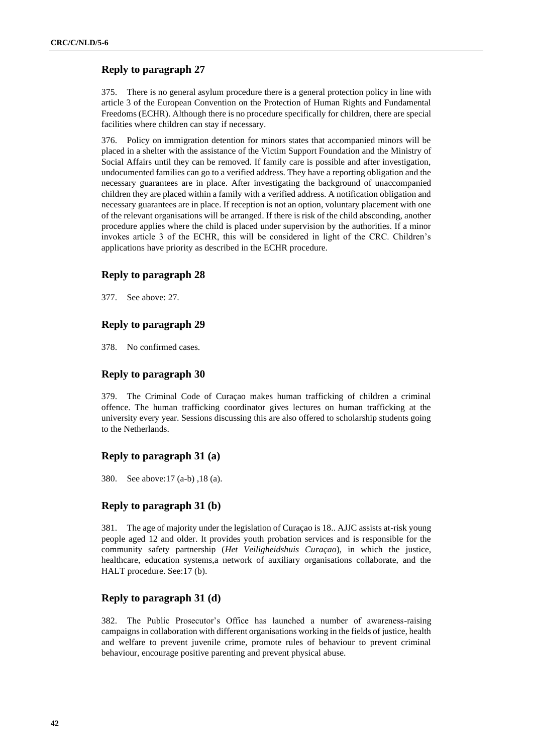375. There is no general asylum procedure there is a general protection policy in line with article 3 of the European Convention on the Protection of Human Rights and Fundamental Freedoms (ECHR). Although there is no procedure specifically for children, there are special facilities where children can stay if necessary.

376. Policy on immigration detention for minors states that accompanied minors will be placed in a shelter with the assistance of the Victim Support Foundation and the Ministry of Social Affairs until they can be removed. If family care is possible and after investigation, undocumented families can go to a verified address. They have a reporting obligation and the necessary guarantees are in place. After investigating the background of unaccompanied children they are placed within a family with a verified address. A notification obligation and necessary guarantees are in place. If reception is not an option, voluntary placement with one of the relevant organisations will be arranged. If there is risk of the child absconding, another procedure applies where the child is placed under supervision by the authorities. If a minor invokes article 3 of the ECHR, this will be considered in light of the CRC. Children's applications have priority as described in the ECHR procedure.

# **Reply to paragraph 28**

377. See above: 27.

## **Reply to paragraph 29**

378. No confirmed cases.

## **Reply to paragraph 30**

379. The Criminal Code of Curaçao makes human trafficking of children a criminal offence. The human trafficking coordinator gives lectures on human trafficking at the university every year. Sessions discussing this are also offered to scholarship students going to the Netherlands.

## **Reply to paragraph 31 (a)**

380. See above:17 (a-b) ,18 (a).

# **Reply to paragraph 31 (b)**

381. The age of majority under the legislation of Curaçao is 18.. AJJC assists at-risk young people aged 12 and older. It provides youth probation services and is responsible for the community safety partnership (*Het Veiligheidshuis Curaçao*), in which the justice, healthcare, education systems,a network of auxiliary organisations collaborate, and the HALT procedure. See:17 (b).

## **Reply to paragraph 31 (d)**

382. The Public Prosecutor's Office has launched a number of awareness-raising campaigns in collaboration with different organisations working in the fields of justice, health and welfare to prevent juvenile crime, promote rules of behaviour to prevent criminal behaviour, encourage positive parenting and prevent physical abuse.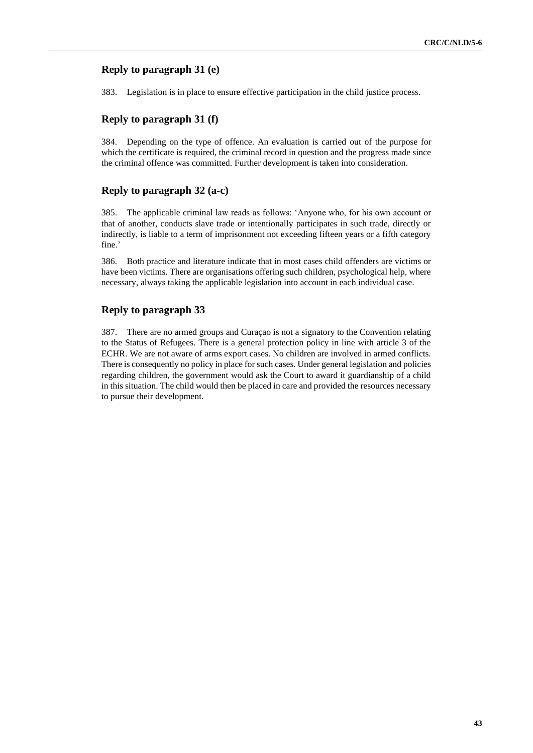## **Reply to paragraph 31 (e)**

383. Legislation is in place to ensure effective participation in the child justice process.

# **Reply to paragraph 31 (f)**

384. Depending on the type of offence. An evaluation is carried out of the purpose for which the certificate is required, the criminal record in question and the progress made since the criminal offence was committed. Further development is taken into consideration.

# **Reply to paragraph 32 (a-c)**

385. The applicable criminal law reads as follows: 'Anyone who, for his own account or that of another, conducts slave trade or intentionally participates in such trade, directly or indirectly, is liable to a term of imprisonment not exceeding fifteen years or a fifth category fine.'

386. Both practice and literature indicate that in most cases child offenders are victims or have been victims. There are organisations offering such children, psychological help, where necessary, always taking the applicable legislation into account in each individual case.

# **Reply to paragraph 33**

387. There are no armed groups and Curaçao is not a signatory to the Convention relating to the Status of Refugees. There is a general protection policy in line with article 3 of the ECHR. We are not aware of arms export cases. No children are involved in armed conflicts. There is consequently no policy in place for such cases. Under general legislation and policies regarding children, the government would ask the Court to award it guardianship of a child in this situation. The child would then be placed in care and provided the resources necessary to pursue their development.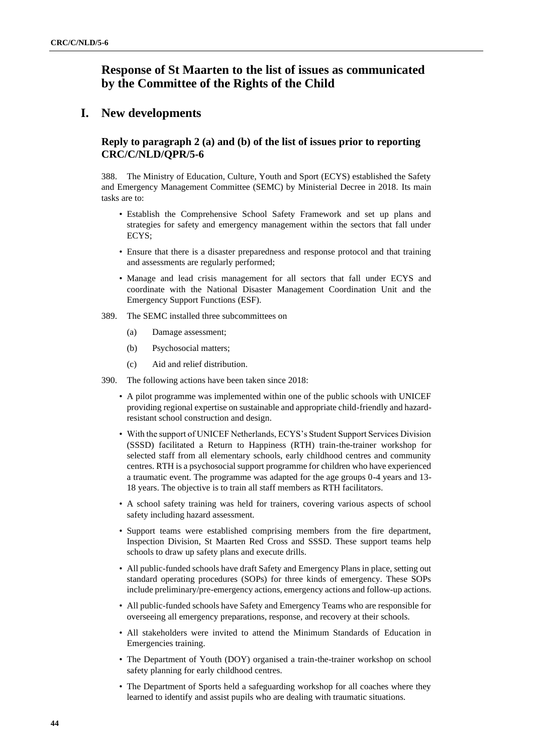# **Response of St Maarten to the list of issues as communicated by the Committee of the Rights of the Child**

# **I. New developments**

# **Reply to paragraph 2 (a) and (b) of the list of issues prior to reporting CRC/C/NLD/QPR/5-6**

388. The Ministry of Education, Culture, Youth and Sport (ECYS) established the Safety and Emergency Management Committee (SEMC) by Ministerial Decree in 2018. Its main tasks are to:

- Establish the Comprehensive School Safety Framework and set up plans and strategies for safety and emergency management within the sectors that fall under ECYS;
- Ensure that there is a disaster preparedness and response protocol and that training and assessments are regularly performed;
- Manage and lead crisis management for all sectors that fall under ECYS and coordinate with the National Disaster Management Coordination Unit and the Emergency Support Functions (ESF).
- 389. The SEMC installed three subcommittees on
	- (a) Damage assessment;
	- (b) Psychosocial matters;
	- (c) Aid and relief distribution.
- 390. The following actions have been taken since 2018:
	- A pilot programme was implemented within one of the public schools with UNICEF providing regional expertise on sustainable and appropriate child-friendly and hazardresistant school construction and design.
	- With the support of UNICEF Netherlands, ECYS's Student Support Services Division (SSSD) facilitated a Return to Happiness (RTH) train-the-trainer workshop for selected staff from all elementary schools, early childhood centres and community centres. RTH is a psychosocial support programme for children who have experienced a traumatic event. The programme was adapted for the age groups 0-4 years and 13- 18 years. The objective is to train all staff members as RTH facilitators.
	- A school safety training was held for trainers, covering various aspects of school safety including hazard assessment.
	- Support teams were established comprising members from the fire department, Inspection Division, St Maarten Red Cross and SSSD. These support teams help schools to draw up safety plans and execute drills.
	- All public-funded schools have draft Safety and Emergency Plans in place, setting out standard operating procedures (SOPs) for three kinds of emergency. These SOPs include preliminary/pre-emergency actions, emergency actions and follow-up actions.
	- All public-funded schools have Safety and Emergency Teams who are responsible for overseeing all emergency preparations, response, and recovery at their schools.
	- All stakeholders were invited to attend the Minimum Standards of Education in Emergencies training.
	- The Department of Youth (DOY) organised a train-the-trainer workshop on school safety planning for early childhood centres.
	- The Department of Sports held a safeguarding workshop for all coaches where they learned to identify and assist pupils who are dealing with traumatic situations.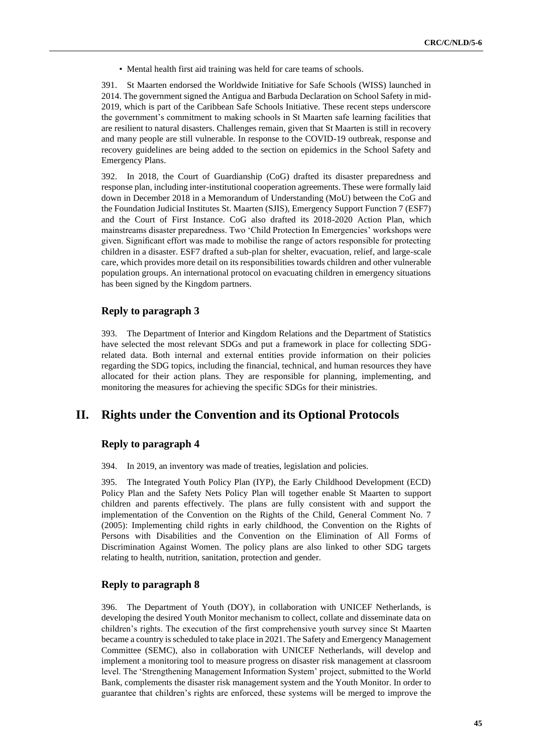• Mental health first aid training was held for care teams of schools.

391. St Maarten endorsed the Worldwide Initiative for Safe Schools (WISS) launched in 2014. The government signed the Antigua and Barbuda Declaration on School Safety in mid-2019, which is part of the Caribbean Safe Schools Initiative. These recent steps underscore the government's commitment to making schools in St Maarten safe learning facilities that are resilient to natural disasters. Challenges remain, given that St Maarten is still in recovery and many people are still vulnerable. In response to the COVID-19 outbreak, response and recovery guidelines are being added to the section on epidemics in the School Safety and Emergency Plans.

392. In 2018, the Court of Guardianship (CoG) drafted its disaster preparedness and response plan, including inter-institutional cooperation agreements. These were formally laid down in December 2018 in a Memorandum of Understanding (MoU) between the CoG and the Foundation Judicial Institutes St. Maarten (SJIS), Emergency Support Function 7 (ESF7) and the Court of First Instance. CoG also drafted its 2018-2020 Action Plan, which mainstreams disaster preparedness. Two 'Child Protection In Emergencies' workshops were given. Significant effort was made to mobilise the range of actors responsible for protecting children in a disaster. ESF7 drafted a sub-plan for shelter, evacuation, relief, and large-scale care, which provides more detail on its responsibilities towards children and other vulnerable population groups. An international protocol on evacuating children in emergency situations has been signed by the Kingdom partners.

## **Reply to paragraph 3**

393. The Department of Interior and Kingdom Relations and the Department of Statistics have selected the most relevant SDGs and put a framework in place for collecting SDGrelated data. Both internal and external entities provide information on their policies regarding the SDG topics, including the financial, technical, and human resources they have allocated for their action plans. They are responsible for planning, implementing, and monitoring the measures for achieving the specific SDGs for their ministries.

# **II. Rights under the Convention and its Optional Protocols**

### **Reply to paragraph 4**

394. In 2019, an inventory was made of treaties, legislation and policies.

395. The Integrated Youth Policy Plan (IYP), the Early Childhood Development (ECD) Policy Plan and the Safety Nets Policy Plan will together enable St Maarten to support children and parents effectively. The plans are fully consistent with and support the implementation of the Convention on the Rights of the Child, General Comment No. 7 (2005): Implementing child rights in early childhood, the Convention on the Rights of Persons with Disabilities and the Convention on the Elimination of All Forms of Discrimination Against Women. The policy plans are also linked to other SDG targets relating to health, nutrition, sanitation, protection and gender.

## **Reply to paragraph 8**

396. The Department of Youth (DOY), in collaboration with UNICEF Netherlands, is developing the desired Youth Monitor mechanism to collect, collate and disseminate data on children's rights. The execution of the first comprehensive youth survey since St Maarten became a country is scheduled to take place in 2021. The Safety and Emergency Management Committee (SEMC), also in collaboration with UNICEF Netherlands, will develop and implement a monitoring tool to measure progress on disaster risk management at classroom level. The 'Strengthening Management Information System' project, submitted to the World Bank, complements the disaster risk management system and the Youth Monitor. In order to guarantee that children's rights are enforced, these systems will be merged to improve the

**45**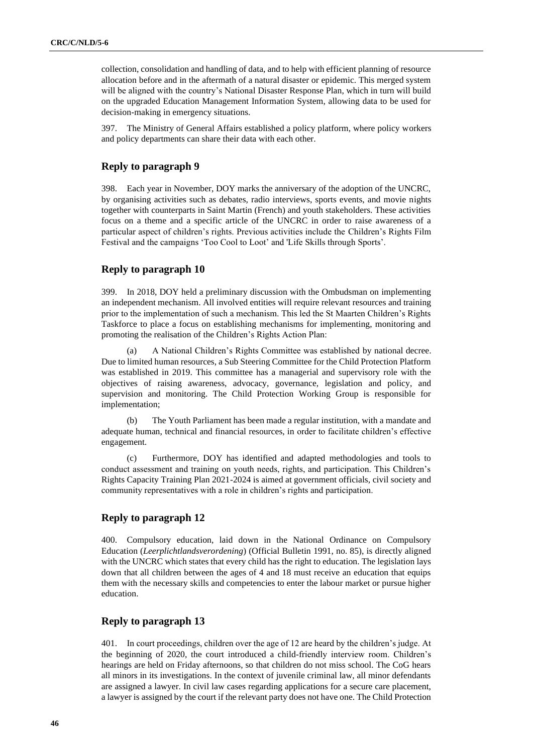collection, consolidation and handling of data, and to help with efficient planning of resource allocation before and in the aftermath of a natural disaster or epidemic. This merged system will be aligned with the country's National Disaster Response Plan, which in turn will build on the upgraded Education Management Information System, allowing data to be used for decision-making in emergency situations.

397. The Ministry of General Affairs established a policy platform, where policy workers and policy departments can share their data with each other.

## **Reply to paragraph 9**

398. Each year in November, DOY marks the anniversary of the adoption of the UNCRC, by organising activities such as debates, radio interviews, sports events, and movie nights together with counterparts in Saint Martin (French) and youth stakeholders. These activities focus on a theme and a specific article of the UNCRC in order to raise awareness of a particular aspect of children's rights. Previous activities include the Children's Rights Film Festival and the campaigns 'Too Cool to Loot' and 'Life Skills through Sports'.

## **Reply to paragraph 10**

399. In 2018, DOY held a preliminary discussion with the Ombudsman on implementing an independent mechanism. All involved entities will require relevant resources and training prior to the implementation of such a mechanism. This led the St Maarten Children's Rights Taskforce to place a focus on establishing mechanisms for implementing, monitoring and promoting the realisation of the Children's Rights Action Plan:

(a) A National Children's Rights Committee was established by national decree. Due to limited human resources, a Sub Steering Committee for the Child Protection Platform was established in 2019. This committee has a managerial and supervisory role with the objectives of raising awareness, advocacy, governance, legislation and policy, and supervision and monitoring. The Child Protection Working Group is responsible for implementation;

(b) The Youth Parliament has been made a regular institution, with a mandate and adequate human, technical and financial resources, in order to facilitate children's effective engagement.

(c) Furthermore, DOY has identified and adapted methodologies and tools to conduct assessment and training on youth needs, rights, and participation. This Children's Rights Capacity Training Plan 2021-2024 is aimed at government officials, civil society and community representatives with a role in children's rights and participation.

## **Reply to paragraph 12**

400. Compulsory education, laid down in the National Ordinance on Compulsory Education (*Leerplichtlandsverordening*) (Official Bulletin 1991, no. 85), is directly aligned with the UNCRC which states that every child has the right to education. The legislation lays down that all children between the ages of 4 and 18 must receive an education that equips them with the necessary skills and competencies to enter the labour market or pursue higher education.

### **Reply to paragraph 13**

401. In court proceedings, children over the age of 12 are heard by the children's judge. At the beginning of 2020, the court introduced a child-friendly interview room. Children's hearings are held on Friday afternoons, so that children do not miss school. The CoG hears all minors in its investigations. In the context of juvenile criminal law, all minor defendants are assigned a lawyer. In civil law cases regarding applications for a secure care placement, a lawyer is assigned by the court if the relevant party does not have one. The Child Protection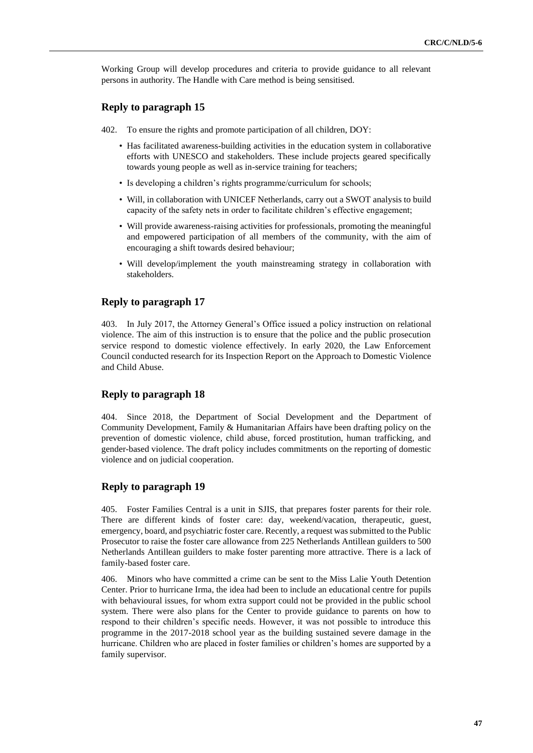Working Group will develop procedures and criteria to provide guidance to all relevant persons in authority. The Handle with Care method is being sensitised.

## **Reply to paragraph 15**

- 402. To ensure the rights and promote participation of all children, DOY:
	- Has facilitated awareness-building activities in the education system in collaborative efforts with UNESCO and stakeholders. These include projects geared specifically towards young people as well as in-service training for teachers;
	- Is developing a children's rights programme/curriculum for schools;
	- Will, in collaboration with UNICEF Netherlands, carry out a SWOT analysis to build capacity of the safety nets in order to facilitate children's effective engagement;
	- Will provide awareness-raising activities for professionals, promoting the meaningful and empowered participation of all members of the community, with the aim of encouraging a shift towards desired behaviour;
	- Will develop/implement the youth mainstreaming strategy in collaboration with stakeholders.

## **Reply to paragraph 17**

403. In July 2017, the Attorney General's Office issued a policy instruction on relational violence. The aim of this instruction is to ensure that the police and the public prosecution service respond to domestic violence effectively. In early 2020, the Law Enforcement Council conducted research for its Inspection Report on the Approach to Domestic Violence and Child Abuse.

### **Reply to paragraph 18**

404. Since 2018, the Department of Social Development and the Department of Community Development, Family & Humanitarian Affairs have been drafting policy on the prevention of domestic violence, child abuse, forced prostitution, human trafficking, and gender-based violence. The draft policy includes commitments on the reporting of domestic violence and on judicial cooperation.

### **Reply to paragraph 19**

405. Foster Families Central is a unit in SJIS, that prepares foster parents for their role. There are different kinds of foster care: day, weekend/vacation, therapeutic, guest, emergency, board, and psychiatric foster care. Recently, a request was submitted to the Public Prosecutor to raise the foster care allowance from 225 Netherlands Antillean guilders to 500 Netherlands Antillean guilders to make foster parenting more attractive. There is a lack of family-based foster care.

406. Minors who have committed a crime can be sent to the Miss Lalie Youth Detention Center. Prior to hurricane Irma, the idea had been to include an educational centre for pupils with behavioural issues, for whom extra support could not be provided in the public school system. There were also plans for the Center to provide guidance to parents on how to respond to their children's specific needs. However, it was not possible to introduce this programme in the 2017-2018 school year as the building sustained severe damage in the hurricane. Children who are placed in foster families or children's homes are supported by a family supervisor.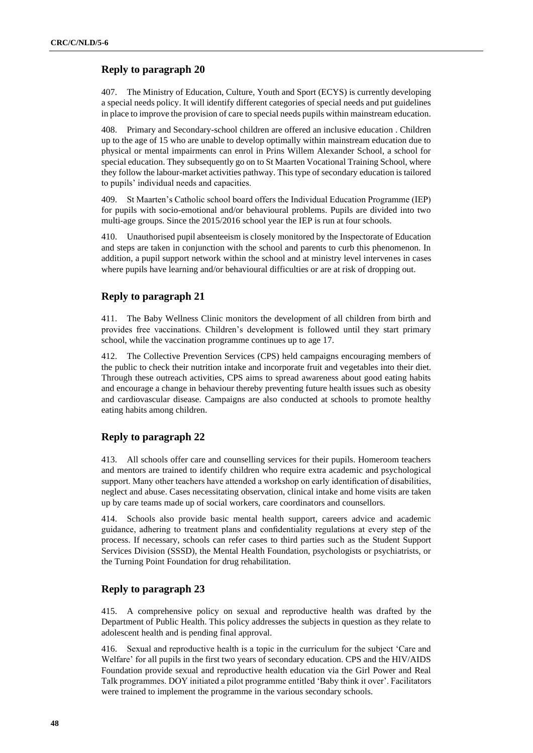407. The Ministry of Education, Culture, Youth and Sport (ECYS) is currently developing a special needs policy. It will identify different categories of special needs and put guidelines in place to improve the provision of care to special needs pupils within mainstream education.

408. Primary and Secondary-school children are offered an inclusive education . Children up to the age of 15 who are unable to develop optimally within mainstream education due to physical or mental impairments can enrol in Prins Willem Alexander School, a school for special education. They subsequently go on to St Maarten Vocational Training School, where they follow the labour-market activities pathway. This type of secondary education is tailored to pupils' individual needs and capacities.

409. St Maarten's Catholic school board offers the Individual Education Programme (IEP) for pupils with socio-emotional and/or behavioural problems. Pupils are divided into two multi-age groups. Since the 2015/2016 school year the IEP is run at four schools.

410. Unauthorised pupil absenteeism is closely monitored by the Inspectorate of Education and steps are taken in conjunction with the school and parents to curb this phenomenon. In addition, a pupil support network within the school and at ministry level intervenes in cases where pupils have learning and/or behavioural difficulties or are at risk of dropping out.

# **Reply to paragraph 21**

411. The Baby Wellness Clinic monitors the development of all children from birth and provides free vaccinations. Children's development is followed until they start primary school, while the vaccination programme continues up to age 17.

412. The Collective Prevention Services (CPS) held campaigns encouraging members of the public to check their nutrition intake and incorporate fruit and vegetables into their diet. Through these outreach activities, CPS aims to spread awareness about good eating habits and encourage a change in behaviour thereby preventing future health issues such as obesity and cardiovascular disease. Campaigns are also conducted at schools to promote healthy eating habits among children.

## **Reply to paragraph 22**

413. All schools offer care and counselling services for their pupils. Homeroom teachers and mentors are trained to identify children who require extra academic and psychological support. Many other teachers have attended a workshop on early identification of disabilities, neglect and abuse. Cases necessitating observation, clinical intake and home visits are taken up by care teams made up of social workers, care coordinators and counsellors.

414. Schools also provide basic mental health support, careers advice and academic guidance, adhering to treatment plans and confidentiality regulations at every step of the process. If necessary, schools can refer cases to third parties such as the Student Support Services Division (SSSD), the Mental Health Foundation, psychologists or psychiatrists, or the Turning Point Foundation for drug rehabilitation.

## **Reply to paragraph 23**

415. A comprehensive policy on sexual and reproductive health was drafted by the Department of Public Health. This policy addresses the subjects in question as they relate to adolescent health and is pending final approval.

416. Sexual and reproductive health is a topic in the curriculum for the subject 'Care and Welfare' for all pupils in the first two years of secondary education. CPS and the HIV/AIDS Foundation provide sexual and reproductive health education via the Girl Power and Real Talk programmes. DOY initiated a pilot programme entitled 'Baby think it over'. Facilitators were trained to implement the programme in the various secondary schools.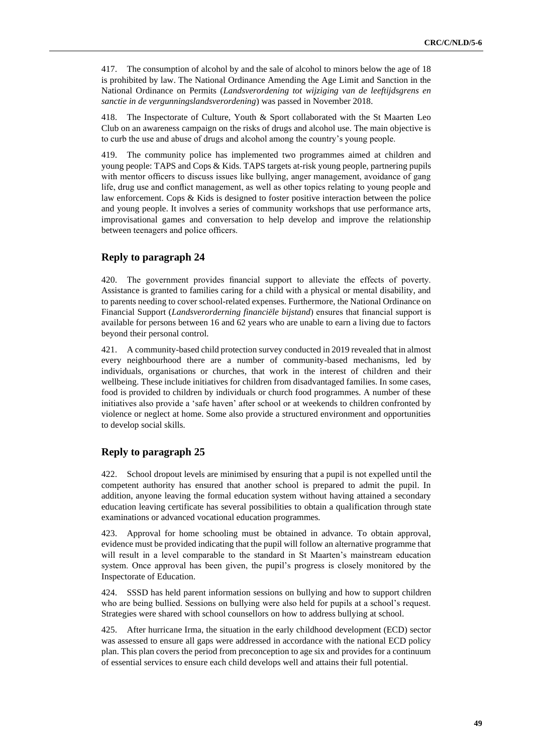417. The consumption of alcohol by and the sale of alcohol to minors below the age of 18 is prohibited by law. The National Ordinance Amending the Age Limit and Sanction in the National Ordinance on Permits (*Landsverordening tot wijziging van de leeftijdsgrens en sanctie in de vergunningslandsverordening*) was passed in November 2018.

418. The Inspectorate of Culture, Youth & Sport collaborated with the St Maarten Leo Club on an awareness campaign on the risks of drugs and alcohol use. The main objective is to curb the use and abuse of drugs and alcohol among the country's young people.

419. The community police has implemented two programmes aimed at children and young people: TAPS and Cops & Kids. TAPS targets at-risk young people, partnering pupils with mentor officers to discuss issues like bullying, anger management, avoidance of gang life, drug use and conflict management, as well as other topics relating to young people and law enforcement. Cops & Kids is designed to foster positive interaction between the police and young people. It involves a series of community workshops that use performance arts, improvisational games and conversation to help develop and improve the relationship between teenagers and police officers.

### **Reply to paragraph 24**

420. The government provides financial support to alleviate the effects of poverty. Assistance is granted to families caring for a child with a physical or mental disability, and to parents needing to cover school-related expenses. Furthermore, the National Ordinance on Financial Support (*Landsverorderning financiële bijstand*) ensures that financial support is available for persons between 16 and 62 years who are unable to earn a living due to factors beyond their personal control.

421. A community-based child protection survey conducted in 2019 revealed that in almost every neighbourhood there are a number of community-based mechanisms, led by individuals, organisations or churches, that work in the interest of children and their wellbeing. These include initiatives for children from disadvantaged families. In some cases, food is provided to children by individuals or church food programmes. A number of these initiatives also provide a 'safe haven' after school or at weekends to children confronted by violence or neglect at home. Some also provide a structured environment and opportunities to develop social skills.

## **Reply to paragraph 25**

422. School dropout levels are minimised by ensuring that a pupil is not expelled until the competent authority has ensured that another school is prepared to admit the pupil. In addition, anyone leaving the formal education system without having attained a secondary education leaving certificate has several possibilities to obtain a qualification through state examinations or advanced vocational education programmes.

423. Approval for home schooling must be obtained in advance. To obtain approval, evidence must be provided indicating that the pupil will follow an alternative programme that will result in a level comparable to the standard in St Maarten's mainstream education system. Once approval has been given, the pupil's progress is closely monitored by the Inspectorate of Education.

424. SSSD has held parent information sessions on bullying and how to support children who are being bullied. Sessions on bullying were also held for pupils at a school's request. Strategies were shared with school counsellors on how to address bullying at school.

425. After hurricane Irma, the situation in the early childhood development (ECD) sector was assessed to ensure all gaps were addressed in accordance with the national ECD policy plan. This plan covers the period from preconception to age six and provides for a continuum of essential services to ensure each child develops well and attains their full potential.